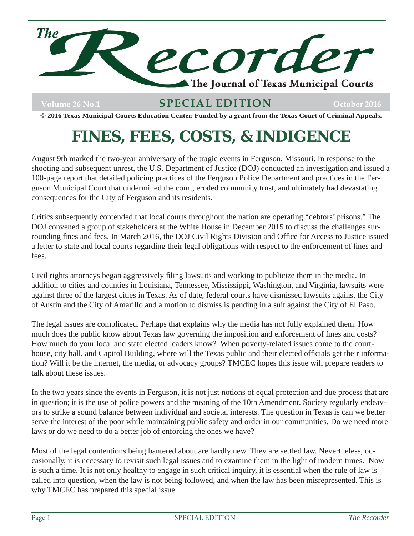

# Volume 26 No.1 **SPECIAL EDITION** October 2016

**© 2016 Texas Municipal Courts Education Center. Funded by a grant from the Texas Court of Criminal Appeals.**

# **FINES, FEES, COSTS, & INDIGENCE**

August 9th marked the two-year anniversary of the tragic events in Ferguson, Missouri. In response to the shooting and subsequent unrest, the U.S. Department of Justice (DOJ) conducted an investigation and issued a 100-page report that detailed policing practices of the Ferguson Police Department and practices in the Ferguson Municipal Court that undermined the court, eroded community trust, and ultimately had devastating consequences for the City of Ferguson and its residents.

Critics subsequently contended that local courts throughout the nation are operating "debtors' prisons." The DOJ convened a group of stakeholders at the White House in December 2015 to discuss the challenges surrounding fines and fees. In March 2016, the DOJ Civil Rights Division and Office for Access to Justice issued a letter to state and local courts regarding their legal obligations with respect to the enforcement of fines and fees.

Civil rights attorneys began aggressively filing lawsuits and working to publicize them in the media. In addition to cities and counties in Louisiana, Tennessee, Mississippi, Washington, and Virginia, lawsuits were against three of the largest cities in Texas. As of date, federal courts have dismissed lawsuits against the City of Austin and the City of Amarillo and a motion to dismiss is pending in a suit against the City of El Paso.

The legal issues are complicated. Perhaps that explains why the media has not fully explained them. How much does the public know about Texas law governing the imposition and enforcement of fines and costs? How much do your local and state elected leaders know? When poverty-related issues come to the courthouse, city hall, and Capitol Building, where will the Texas public and their elected officials get their information? Will it be the internet, the media, or advocacy groups? TMCEC hopes this issue will prepare readers to talk about these issues.

In the two years since the events in Ferguson, it is not just notions of equal protection and due process that are in question; it is the use of police powers and the meaning of the 10th Amendment. Society regularly endeavors to strike a sound balance between individual and societal interests. The question in Texas is can we better serve the interest of the poor while maintaining public safety and order in our communities. Do we need more laws or do we need to do a better job of enforcing the ones we have?

Most of the legal contentions being bantered about are hardly new. They are settled law. Nevertheless, occasionally, it is necessary to revisit such legal issues and to examine them in the light of modern times. Now is such a time. It is not only healthy to engage in such critical inquiry, it is essential when the rule of law is called into question, when the law is not being followed, and when the law has been misrepresented. This is why TMCEC has prepared this special issue.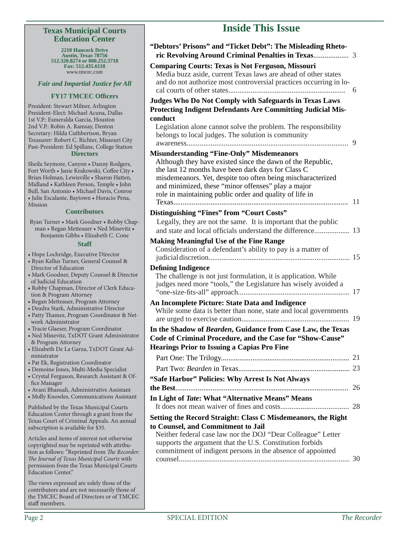#### **Texas Municipal Courts Education Center**

**2210 Hancock Drive Austin, Texas 78756 512.320.8274 or 800.252.3718 Fax: 512.435.6118** www.tmcec.com

*Fair and Impartial Justice for All*

#### **FY17 TMCEC Offi cers**

President: Stewart Milner, Arlington President-Elect: Michael Acuna, Dallas 1st V.P.: Esmeralda Garcia, Houston 2nd V.P.: Robin A. Ramsay, Denton Secretary: Hilda Cuthbertson, Bryan Treasurer: Robert C. Richter, Missouri City Past-President: Ed Spillane, College Station **Directors**

Sheila Seymore, Canyon • Danny Rodgers, Fort Worth • Janie Krakowski, Coffee City • Brian Holman, Lewisville • Sharon Hatten, Midland • Kathleen Person, Temple • John Bull, San Antonio • Michael Davis, Conroe • Julie Escalante, Baytown • Horacio Pena, Mission

#### **Contributors**

| Ryan Turner • Mark Goodner • Robby Chap- |
|------------------------------------------|
| man • Regan Metteauer • Ned Minevitz •   |
| Benjamin Gibbs • Elizabeth C. Cone       |

|  | <b>Staff</b> |  |
|--|--------------|--|
|  |              |  |

- Hope Lochridge, Executive Director
- Ryan Kellus Turner, General Counsel & Director of Education
- Mark Goodner, Deputy Counsel & Director of Judicial Education
- Robby Chapman, Director of Clerk Education & Program Attorney
- Regan Metteauer, Program Attorney
- Deadra Stark, Administrative Director
- Patty Thamez, Program Coordinator & Network Administrator
- Tracie Glaeser, Program Coordinator
- Ned Minevitz, TxDOT Grant Administrator & Program Attorney
- Elizabeth De La Garza, TxDOT Grant Administrator
- Pat Ek, Registration Coordinator
- Demoine Jones, Multi-Media Specialist
- Crystal Ferguson, Research Assistant & Office Manager
- Avani Bhansali, Administrative Assistant
- Molly Knowles, Communications Assistant

Published by the Texas Municipal Courts Education Center through a grant from the Texas Court of Criminal Appeals. An annual subscription is available for \$35.

Articles and items of interest not otherwise copyrighted may be reprinted with attribution as follows: "Reprinted from *The Recorder: The Journal of Texas Municipal Courts with* permission from the Texas Municipal Courts Education Center."

The views expressed are solely those of the contributors and are not necessarily those of the TMCEC Board of Directors or of TMCEC staff members.

# **Inside This Issue**

| "Debtors' Prisons" and "Ticket Debt": The Misleading Rheto-                                                                                                                                                                                                                                                                                          |    |
|------------------------------------------------------------------------------------------------------------------------------------------------------------------------------------------------------------------------------------------------------------------------------------------------------------------------------------------------------|----|
| <b>Comparing Courts: Texas is Not Ferguson, Missouri</b><br>Media buzz aside, current Texas laws are ahead of other states<br>and do not authorize most controversial practices occurring in lo-                                                                                                                                                     | 6  |
| Judges Who Do Not Comply with Safeguards in Texas Laws<br><b>Protecting Indigent Defendants Are Committing Judicial Mis-</b>                                                                                                                                                                                                                         |    |
| conduct<br>Legislation alone cannot solve the problem. The responsibility<br>belongs to local judges. The solution is community                                                                                                                                                                                                                      | 9  |
| <b>Misunderstanding "Fine-Only" Misdemeanors</b><br>Although they have existed since the dawn of the Republic,<br>the last 12 months have been dark days for Class C<br>misdemeanors. Yet, despite too often being mischaracterized<br>and minimized, these "minor offenses" play a major<br>role in maintaining public order and quality of life in | 11 |
| Distinguishing "Fines" from "Court Costs"<br>Legally, they are not the same. It is important that the public<br>and state and local officials understand the difference 13                                                                                                                                                                           |    |
| <b>Making Meaningful Use of the Fine Range</b><br>Consideration of a defendant's ability to pay is a matter of                                                                                                                                                                                                                                       | 15 |
| <b>Defining Indigence</b><br>The challenge is not just formulation, it is application. While<br>judges need more "tools," the Legislature has wisely avoided a                                                                                                                                                                                       |    |
| An Incomplete Picture: State Data and Indigence<br>While some data is better than none, state and local governments                                                                                                                                                                                                                                  | 19 |
| In the Shadow of Bearden, Guidance from Case Law, the Texas<br>Code of Criminal Procedure, and the Case for "Show-Cause"<br><b>Hearings Prior to Issuing a Capias Pro Fine</b>                                                                                                                                                                       |    |
|                                                                                                                                                                                                                                                                                                                                                      |    |
|                                                                                                                                                                                                                                                                                                                                                      |    |
| "Safe Harbor" Policies: Why Arrest Is Not Always                                                                                                                                                                                                                                                                                                     |    |
| In Light of Tate: What "Alternative Means" Means                                                                                                                                                                                                                                                                                                     |    |
|                                                                                                                                                                                                                                                                                                                                                      |    |
| Setting the Record Straight: Class C Misdemeanors, the Right<br>to Counsel, and Commitment to Jail                                                                                                                                                                                                                                                   |    |
| Neither federal case law nor the DOJ "Dear Colleague" Letter<br>supports the argument that the U.S. Constitution forbids<br>commitment of indigent persons in the absence of appointed                                                                                                                                                               |    |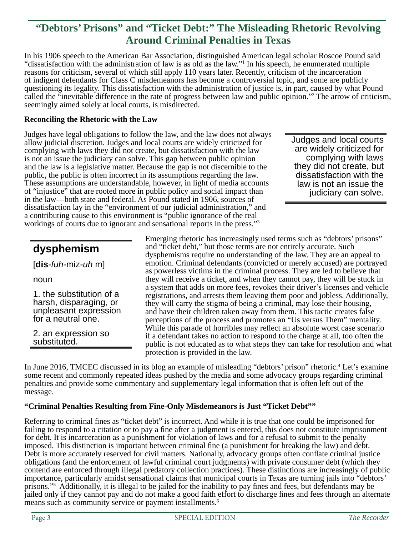# **"Debtors' Prisons" and "Ticket Debt:" The Misleading Rhetoric Revolving Around Criminal Penalties in Texas**

In his 1906 speech to the American Bar Association, distinguished American legal scholar Roscoe Pound said "dissatisfaction with the administration of law is as old as the law."1 In his speech, he enumerated multiple reasons for criticism, several of which still apply 110 years later. Recently, criticism of the incarceration of indigent defendants for Class C misdemeanors has become a controversial topic, and some are publicly questioning its legality. This dissatisfaction with the administration of justice is, in part, caused by what Pound called the "inevitable difference in the rate of progress between law and public opinion."2 The arrow of criticism, seemingly aimed solely at local courts, is misdirected.

#### **Reconciling the Rhetoric with the Law**

Judges have legal obligations to follow the law, and the law does not always allow judicial discretion. Judges and local courts are widely criticized for complying with laws they did not create, but dissatisfaction with the law is not an issue the judiciary can solve. This gap between public opinion and the law is a legislative matter. Because the gap is not discernible to the public, the public is often incorrect in its assumptions regarding the law. These assumptions are understandable, however, in light of media accounts of "injustice" that are rooted more in public policy and social impact than in the law—both state and federal. As Pound stated in 1906, sources of dissatisfaction lay in the "environment of our judicial administration," and a contributing cause to this environment is "public ignorance of the real workings of courts due to ignorant and sensational reports in the press."3

Judges and local courts are widely criticized for complying with laws they did not create, but dissatisfaction with the law is not an issue the judiciary can solve.

# **dysphemism**

[**dis***-fuh-*miz*-uh* m]

noun

1. the substitution of a harsh, disparaging, or unpleasant expression for a neutral one.

2. an expression so substituted.

Emerging rhetoric has increasingly used terms such as "debtors' prisons" and "ticket debt," but those terms are not entirely accurate. Such dysphemisms require no understanding of the law. They are an appeal to emotion. Criminal defendants (convicted or merely accused) are portrayed as powerless victims in the criminal process. They are led to believe that they will receive a ticket, and when they cannot pay, they will be stuck in a system that adds on more fees, revokes their driver's licenses and vehicle registrations, and arrests them leaving them poor and jobless. Additionally, they will carry the stigma of being a criminal, may lose their housing, and have their children taken away from them. This tactic creates false perceptions of the process and promotes an "Us versus Them" mentality. While this parade of horribles may reflect an absolute worst case scenario if a defendant takes no action to respond to the charge at all, too often the public is not educated as to what steps they can take for resolution and what protection is provided in the law.

In June 2016, TMCEC discussed in its blog an example of misleading "debtors' prison" rhetoric.<sup>4</sup> Let's examine some recent and commonly repeated ideas pushed by the media and some advocacy groups regarding criminal penalties and provide some commentary and supplementary legal information that is often left out of the message.

#### **"Criminal Penalties Resulting from Fine-Only Misdemeanors is Just "Ticket Debt""**

Referring to criminal fines as "ticket debt" is incorrect. And while it is true that one could be imprisoned for failing to respond to a citation or to pay a fine after a judgment is entered, this does not constitute imprisonment for debt. It is incarceration as a punishment for violation of laws and for a refusal to submit to the penalty imposed. This distinction is important between criminal fine (a punishment for breaking the law) and debt. Debt is more accurately reserved for civil matters. Nationally, advocacy groups often conflate criminal justice obligations (and the enforcement of lawful criminal court judgments) with private consumer debt (which they contend are enforced through illegal predatory collection practices). These distinctions are increasingly of public importance, particularly amidst sensational claims that municipal courts in Texas are turning jails into "debtors' prisons."<sup>5</sup> Additionally, it is illegal to be jailed for the inability to pay fines and fees, but defendants may be jailed only if they cannot pay and do not make a good faith effort to discharge fines and fees through an alternate means such as community service or payment installments.<sup>6</sup>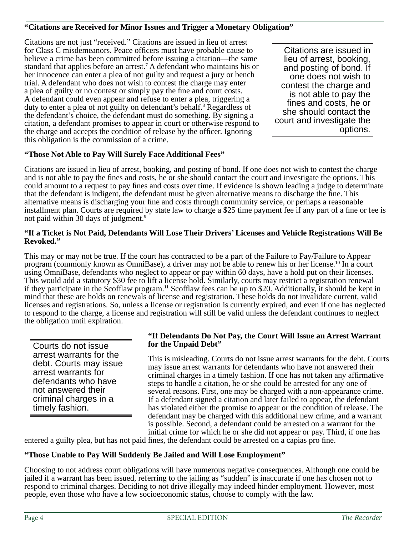#### **"Citations are Received for Minor Issues and Trigger a Monetary Obligation"**

Citations are not just "received." Citations are issued in lieu of arrest for Class C misdemeanors. Peace officers must have probable cause to believe a crime has been committed before issuing a citation—the same standard that applies before an arrest.<sup>7</sup> A defendant who maintains his or her innocence can enter a plea of not guilty and request a jury or bench trial. A defendant who does not wish to contest the charge may enter a plea of guilty or no contest or simply pay the fine and court costs. A defendant could even appear and refuse to enter a plea, triggering a duty to enter a plea of not guilty on defendant's behalf.<sup>8</sup> Regardless of the defendant's choice, the defendant must do something. By signing a citation, a defendant promises to appear in court or otherwise respond to the charge and accepts the condition of release by the officer. Ignoring this obligation is the commission of a crime.

Citations are issued in lieu of arrest, booking, and posting of bond. If one does not wish to contest the charge and is not able to pay the fines and costs, he or she should contact the court and investigate the options.

### **"Those Not Able to Pay Will Surely Face Additional Fees"**

Citations are issued in lieu of arrest, booking, and posting of bond. If one does not wish to contest the charge and is not able to pay the fines and costs, he or she should contact the court and investigate the options. This could amount to a request to pay fines and costs over time. If evidence is shown leading a judge to determinate that the defendant is indigent, the defendant must be given alternative means to discharge the fine. This alternative means is discharging your fine and costs through community service, or perhaps a reasonable installment plan. Courts are required by state law to charge a \$25 time payment fee if any part of a fine or fee is not paid within 30 days of judgment.9

#### **"If a Ticket is Not Paid, Defendants Will Lose Their Drivers' Licenses and Vehicle Registrations Will Be Revoked."**

This may or may not be true. If the court has contracted to be a part of the Failure to Pay/Failure to Appear program (commonly known as OmniBase), a driver may not be able to renew his or her license.<sup>10</sup> In a court using OmniBase, defendants who neglect to appear or pay within 60 days, have a hold put on their licenses. This would add a statutory \$30 fee to lift a license hold. Similarly, courts may restrict a registration renewal if they participate in the Scofflaw program.<sup>11</sup> Scofflaw fees can be up to \$20. Additionally, it should be kept in mind that these are holds on renewals of license and registration. These holds do not invalidate current, valid licenses and registrations. So, unless a license or registration is currently expired, and even if one has neglected to respond to the charge, a license and registration will still be valid unless the defendant continues to neglect the obligation until expiration.

Courts do not issue arrest warrants for the debt. Courts may issue arrest warrants for defendants who have not answered their criminal charges in a timely fashion.

#### **"If Defendants Do Not Pay, the Court Will Issue an Arrest Warrant for the Unpaid Debt"**

This is misleading. Courts do not issue arrest warrants for the debt. Courts may issue arrest warrants for defendants who have not answered their criminal charges in a timely fashion. If one has not taken any affirmative steps to handle a citation, he or she could be arrested for any one of several reasons. First, one may be charged with a non-appearance crime. If a defendant signed a citation and later failed to appear, the defendant has violated either the promise to appear or the condition of release. The defendant may be charged with this additional new crime, and a warrant is possible. Second, a defendant could be arrested on a warrant for the initial crime for which he or she did not appear or pay. Third, if one has

entered a guilty plea, but has not paid fines, the defendant could be arrested on a capias pro fine.

#### **"Those Unable to Pay Will Suddenly Be Jailed and Will Lose Employment"**

Choosing to not address court obligations will have numerous negative consequences. Although one could be jailed if a warrant has been issued, referring to the jailing as "sudden" is inaccurate if one has chosen not to respond to criminal charges. Deciding to not drive illegally may indeed hinder employment. However, most people, even those who have a low socioeconomic status, choose to comply with the law.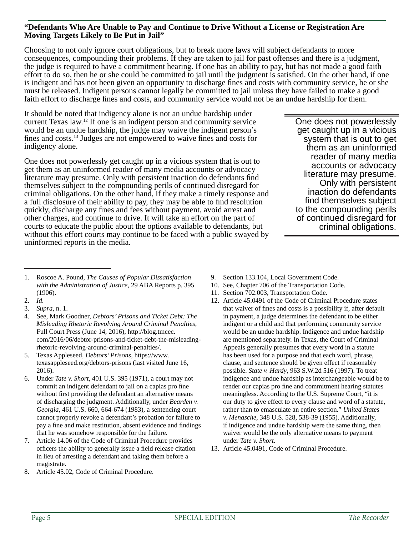#### **"Defendants Who Are Unable to Pay and Continue to Drive Without a License or Registration Are Moving Targets Likely to Be Put in Jail"**

Choosing to not only ignore court obligations, but to break more laws will subject defendants to more consequences, compounding their problems. If they are taken to jail for past offenses and there is a judgment, the judge is required to have a commitment hearing. If one has an ability to pay, but has not made a good faith effort to do so, then he or she could be committed to jail until the judgment is satisfied. On the other hand, if one is indigent and has not been given an opportunity to discharge fines and costs with community service, he or she must be released. Indigent persons cannot legally be committed to jail unless they have failed to make a good faith effort to discharge fines and costs, and community service would not be an undue hardship for them.

It should be noted that indigency alone is not an undue hardship under current Texas law.12 If one is an indigent person and community service would be an undue hardship, the judge may waive the indigent person's fines and costs.<sup>13</sup> Judges are not empowered to waive fines and costs for indigency alone.

One does not powerlessly get caught up in a vicious system that is out to get them as an uninformed reader of many media accounts or advocacy literature may presume. Only with persistent inaction do defendants find themselves subject to the compounding perils of continued disregard for criminal obligations. On the other hand, if they make a timely response and a full disclosure of their ability to pay, they may be able to find resolution quickly, discharge any fines and fees without payment, avoid arrest and other charges, and continue to drive. It will take an effort on the part of courts to educate the public about the options available to defendants, but without this effort courts may continue to be faced with a public swayed by uninformed reports in the media.

One does not powerlessly get caught up in a vicious system that is out to get them as an uninformed reader of many media accounts or advocacy literature may presume. Only with persistent inaction do defendants find themselves subject to the compounding perils of continued disregard for criminal obligations.

- 1. Roscoe A. Pound, *The Causes of Popular Dissatisfaction with the Administration of Justice*, 29 ABA Reports p. 395 (1906).
- 2. *Id.*
- 3. *Supra*, n. 1.
- 4. See, Mark Goodner, *Debtors' Prisons and Ticket Debt: The Misleading Rhetoric Revolving Around Criminal Penalties*, Full Court Press (June 14, 2016), http://blog.tmcec. com/2016/06/debtor-prisons-and-ticket-debt-the-misleadingrhetoric-revolving-around-criminal-penalties/.
- 5. Texas Appleseed, *Debtors' Prisons*, https://www. texasappleseed.org/debtors-prisons (last visited June 16, 2016).
- 6. Under *Tate v. Short*, 401 U.S. 395 (1971), a court may not commit an indigent defendant to jail on a capias pro fine without first providing the defendant an alternative means of discharging the judgment. Additionally, under *Bearden v. Georgia*, 461 U.S. 660, 664-674 (1983), a sentencing court cannot properly revoke a defendant's probation for failure to pay a fine and make restitution, absent evidence and findings that he was somehow responsible for the failure.
- 7. Article 14.06 of the Code of Criminal Procedure provides officers the ability to generally issue a field release citation in lieu of arresting a defendant and taking them before a magistrate.
- 8. Article 45.02, Code of Criminal Procedure.
- 9. Section 133.104, Local Government Code.
- 10. See, Chapter 706 of the Transportation Code.
- 11. Section 702.003, Transportation Code.
- 12. Article 45.0491 of the Code of Criminal Procedure states that waiver of fines and costs is a possibility if, after default in payment, a judge determines the defendant to be either indigent or a child and that performing community service would be an undue hardship. Indigence and undue hardship are mentioned separately. In Texas, the Court of Criminal Appeals generally presumes that every word in a statute has been used for a purpose and that each word, phrase, clause, and sentence should be given effect if reasonably possible. *State v. Hardy*, 963 S.W.2d 516 (1997). To treat indigence and undue hardship as interchangeable would be to render our capias pro fine and commitment hearing statutes meaningless. According to the U.S. Supreme Court, "it is our duty to give effect to every clause and word of a statute, rather than to emasculate an entire section." *United States v. Menasche*, 348 U.S. 528, 538-39 (1955). Additionally, if indigence and undue hardship were the same thing, then waiver would be the only alternative means to payment under *Tate v. Short*.
- 13. Article 45.0491, Code of Criminal Procedure.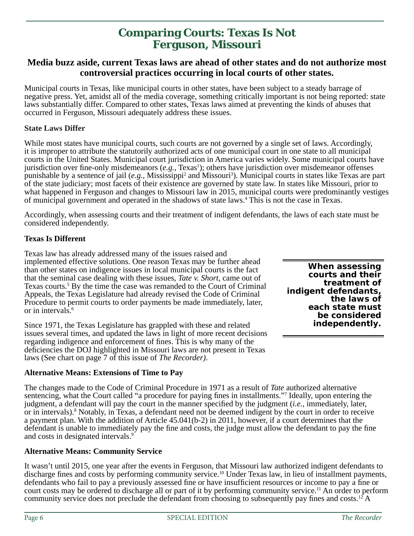# **Comparing Courts: Texas Is Not Ferguson, Missouri**

### **Media buzz aside, current Texas laws are ahead of other states and do not authorize most controversial practices occurring in local courts of other states.**

Municipal courts in Texas, like municipal courts in other states, have been subject to a steady barrage of negative press. Yet, amidst all of the media coverage, something critically important is not being reported: state laws substantially differ. Compared to other states, Texas laws aimed at preventing the kinds of abuses that occurred in Ferguson, Missouri adequately address these issues.

#### **State Laws Differ**

While most states have municipal courts, such courts are not governed by a single set of laws. Accordingly, it is improper to attribute the statutorily authorized acts of one municipal court in one state to all municipal courts in the United States. Municipal court jurisdiction in America varies widely. Some municipal courts have jurisdiction over fine-only misdemeanors (*e.g.*, Texas<sup>1</sup>); others have jurisdiction over misdemeanor offenses punishable by a sentence of jail (*e.g.*, Mississippi<sup>2</sup> and Missouri<sup>3</sup>). Municipal courts in states like Texas are part of the state judiciary; most facets of their existence are governed by state law. In states like Missouri, prior to what happened in Ferguson and changes to Missouri law in 2015, municipal courts were predominantly vestiges of municipal government and operated in the shadows of state laws.<sup>4</sup> This is not the case in Texas.

Accordingly, when assessing courts and their treatment of indigent defendants, the laws of each state must be considered independently.

#### **Texas Is Different**

Texas law has already addressed many of the issues raised and implemented effective solutions. One reason Texas may be further ahead than other states on indigence issues in local municipal courts is the fact that the seminal case dealing with these issues, *Tate v. Short*, came out of Texas courts.<sup>5</sup> By the time the case was remanded to the Court of Criminal Appeals, the Texas Legislature had already revised the Code of Criminal Procedure to permit courts to order payments be made immediately, later, or in intervals.6

Since 1971, the Texas Legislature has grappled with these and related issues several times, and updated the laws in light of more recent decisions regarding indigence and enforcement of fines. This is why many of the deficiencies the DOJ highlighted in Missouri laws are not present in Texas laws (See chart on page 7 of this issue of *The Recorder)*.

#### **Alternative Means: Extensions of Time to Pay**

The changes made to the Code of Criminal Procedure in 1971 as a result of *Tate* authorized alternative sentencing, what the Court called "a procedure for paying fines in installments." Ideally, upon entering the judgment, a defendant will pay the court in the manner specified by the judgment *(i.e.*, immediately, later, or in intervals).<sup>8</sup> Notably, in Texas, a defendant need not be deemed indigent by the court in order to receive a payment plan. With the addition of Article 45.041(b-2) in 2011, however, if a court determines that the defendant is unable to immediately pay the fine and costs, the judge must allow the defendant to pay the fine and costs in designated intervals.<sup>9</sup>

#### **Alternative Means: Community Service**

It wasn't until 2015, one year after the events in Ferguson, that Missouri law authorized indigent defendants to discharge fines and costs by performing community service.<sup>10</sup> Under Texas law, in lieu of installment payments, defendants who fail to pay a previously assessed fine or have insufficient resources or income to pay a fine or court costs may be ordered to discharge all or part of it by performing community service.<sup>11</sup> An order to perform community service does not preclude the defendant from choosing to subsequently pay fines and costs.<sup>12</sup> A

**When assessing courts and their treatment of indigent defendants, the laws of each state must be considered independently.**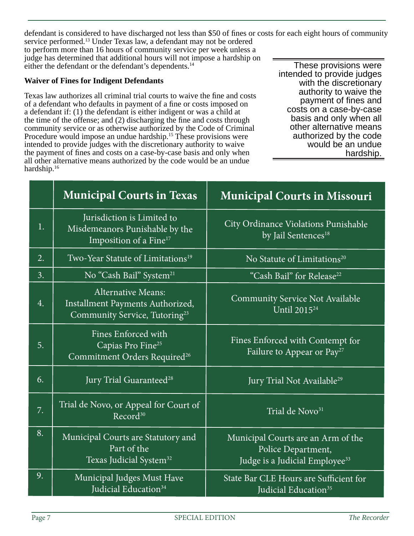defendant is considered to have discharged not less than \$50 of fines or costs for each eight hours of community service performed.13 Under Texas law, a defendant may not be ordered to perform more than 16 hours of community service per week unless a judge has determined that additional hours will not impose a hardship on either the defendant or the defendant's dependents.14 These provisions were

#### **Waiver of Fines for Indigent Defendants**

Texas law authorizes all criminal trial courts to waive the fine and costs of a defendant who defaults in payment of a fine or costs imposed on a defendant if: (1) the defendant is either indigent or was a child at the time of the offense; and  $(2)$  discharging the fine and costs through community service or as otherwise authorized by the Code of Criminal Procedure would impose an undue hardship.15 These provisions were intended to provide judges with the discretionary authority to waive the payment of fines and costs on a case-by-case basis and only when all other alternative means authorized by the code would be an undue hardship.16

intended to provide judges with the discretionary authority to waive the payment of fines and costs on a case-by-case basis and only when all other alternative means authorized by the code would be an undue hardship.

|    | <b>Municipal Courts in Texas</b>                                                                           | <b>Municipal Courts in Missouri</b>                                                                    |
|----|------------------------------------------------------------------------------------------------------------|--------------------------------------------------------------------------------------------------------|
| 1. | Jurisdiction is Limited to<br>Misdemeanors Punishable by the<br>Imposition of a Fine <sup>17</sup>         | City Ordinance Violations Punishable<br>by Jail Sentences <sup>18</sup>                                |
| 2. | Two-Year Statute of Limitations <sup>19</sup>                                                              | No Statute of Limitations <sup>20</sup>                                                                |
| 3. | No "Cash Bail" System <sup>21</sup>                                                                        | "Cash Bail" for Release <sup>22</sup>                                                                  |
| 4. | <b>Alternative Means:</b><br>Installment Payments Authorized,<br>Community Service, Tutoring <sup>23</sup> | <b>Community Service Not Available</b><br>Until 2015 <sup>24</sup>                                     |
| 5. | Fines Enforced with<br>Capias Pro Fine <sup>25</sup><br>Commitment Orders Required <sup>26</sup>           | Fines Enforced with Contempt for<br>Failure to Appear or Pay <sup>27</sup>                             |
| 6. | Jury Trial Guaranteed <sup>28</sup>                                                                        | Jury Trial Not Available <sup>29</sup>                                                                 |
| 7. | Trial de Novo, or Appeal for Court of<br>Record <sup>30</sup>                                              | Trial de Novo <sup>31</sup>                                                                            |
| 8. | Municipal Courts are Statutory and<br>Part of the<br>Texas Judicial System <sup>32</sup>                   | Municipal Courts are an Arm of the<br>Police Department,<br>Judge is a Judicial Employee <sup>33</sup> |
| 9. | Municipal Judges Must Have<br>Judicial Education <sup>34</sup>                                             | State Bar CLE Hours are Sufficient for<br>Judicial Education <sup>35</sup>                             |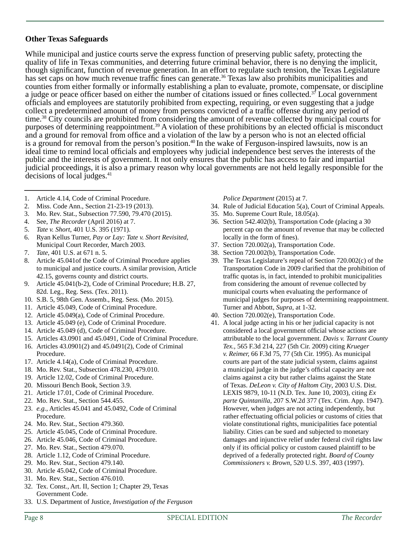#### **Other Texas Safeguards**

While municipal and justice courts serve the express function of preserving public safety, protecting the quality of life in Texas communities, and deterring future criminal behavior, there is no denying the implicit, though significant, function of revenue generation. In an effort to regulate such tension, the Texas Legislature has set caps on how much revenue traffic fines can generate.<sup>36</sup> Texas law also prohibits municipalities and counties from either formally or informally establishing a plan to evaluate, promote, compensate, or discipline a judge or peace officer based on either the number of citations issued or fines collected.<sup>37</sup> Local government officials and employees are statutorily prohibited from expecting, requiring, or even suggesting that a judge collect a predetermined amount of money from persons convicted of a traffic offense during any period of time.38 City councils are prohibited from considering the amount of revenue collected by municipal courts for purposes of determining reappointment.<sup>39</sup> A violation of these prohibitions by an elected official is misconduct and a ground for removal from office and a violation of the law by a person who is not an elected official is a ground for removal from the person's position.<sup>40</sup> In the wake of Ferguson-inspired lawsuits, now is an ideal time to remind local officials and employees why judicial independence best serves the interests of the public and the interests of government. It not only ensures that the public has access to fair and impartial judicial proceedings, it is also a primary reason why local governments are not held legally responsible for the decisions of local judges.<sup>41</sup>

- 1. Article 4.14, Code of Criminal Procedure.
- 2. Miss. Code Ann., Section 21-23-19 (2013).
- 3. Mo. Rev. Stat., Subsection 77.590, 79.470 (2015).
- 4. See, *The Recorder* (April 2016) at 7.
- 5. *Tate v. Short*, 401 U.S. 395 (1971).
- 6. Ryan Kellus Turner, *Pay or Lay: Tate v. Short Revisited*, Municipal Court Recorder, March 2003.
- 7. *Tate*, 401 U.S. at 671 n. 5.
- 8. Article 45.041of the Code of Criminal Procedure applies to municipal and justice courts. A similar provision, Article 42.15, governs county and district courts.
- 9. Article 45.041(b-2), Code of Criminal Procedure; H.B. 27, 82d. Leg., Reg. Sess. (Tex. 2011).
- 10. S.B. 5, 98th Gen. Assemb., Reg. Sess. (Mo. 2015).
- 11. Article 45.049, Code of Criminal Procedure.
- 12. Article 45.049(a), Code of Criminal Procedure.
- 13. Article 45.049 (e), Code of Criminal Procedure.
- 14. Article 45.049 (d), Code of Criminal Procedure.
- 15. Articles 43.0901 and 45.0491, Code of Criminal Procedure.
- 16. Articles 43.0901(2) and 45.0491(2), Code of Criminal Procedure.
- 17. Article 4.14(a), Code of Criminal Procedure.
- 18. Mo. Rev. Stat., Subsection 478.230, 479.010.
- 19. Article 12.02, Code of Criminal Procedure.
- 20. Missouri Bench Book, Section 3.9.
- 21. Article 17.01, Code of Criminal Procedure.
- 22. Mo. Rev. Stat., Section 544.455.
- 23. *e.g.*, Articles 45.041 and 45.0492, Code of Criminal Procedure.
- 24. Mo. Rev. Stat., Section 479.360.
- 25. Article 45.045, Code of Criminal Procedure.
- 26. Article 45.046, Code of Criminal Procedure.
- 27. Mo. Rev. Stat., Section 479.070.
- 28. Article 1.12, Code of Criminal Procedure.
- 29. Mo. Rev. Stat., Section 479.140.
- 30. Article 45.042, Code of Criminal Procedure.
- 31. Mo. Rev. Stat., Section 476.010.
- 32. Tex. Const., Art. II, Section 1; Chapter 29, Texas Government Code.
- 33. U.S. Department of Justice, *Investigation of the Ferguson*

#### *Police Department* (2015) at 7.

- 34. Rule of Judicial Education 5(a), Court of Criminal Appeals.
- 35. Mo. Supreme Court Rule, 18.05(a).
- 36. Section 542.402(b), Transportation Code (placing a 30 percent cap on the amount of revenue that may be collected locally in the form of fines).
- 37. Section 720.002(a), Transportation Code.
- 38. Section 720.002(b), Transportation Code.
- 39. The Texas Legislature's repeal of Section 720.002(c) of the Transportation Code in 2009 clarified that the prohibition of traffic quotas is, in fact, intended to prohibit municipalities from considering the amount of revenue collected by municipal courts when evaluating the performance of municipal judges for purposes of determining reappointment. Turner and Abbott, *Supra*, at 1-32.
- 40. Section 720.002(e), Transportation Code.
- 41. A local judge acting in his or her judicial capacity is not considered a local government official whose actions are attributable to the local government. *Davis v. Tarrant County Tex.,* 565 F.3d 214, 227 (5th Cir. 2009) citing *Krueger v. Reimer,* 66 F.3d 75, 77 (5th Cir. 1995). As municipal courts are part of the state judicial system, claims against a municipal judge in the judge's official capacity are not claims against a city but rather claims against the State of Texas. *DeLeon v. City of Haltom City*, 2003 U.S. Dist. LEXIS 9879, 10-11 (N.D. Tex. June 10, 2003), citing *Ex parte Quintanilla*, 207 S.W.2d 377 (Tex. Crim. App. 1947). However, when judges are not acting independently, but rather effectuating official policies or customs of cities that violate constitutional rights, municipalities face potential liability. Cities can be sued and subjected to monetary damages and injunctive relief under federal civil rights law only if its official policy or custom caused plaintiff to be deprived of a federally protected right. *Board of County Commissioners v. Brown*, 520 U.S. 397, 403 (1997).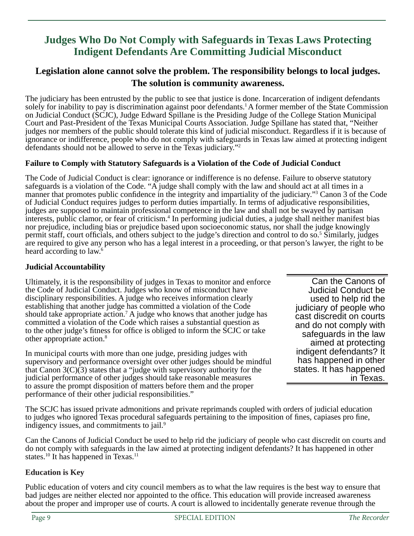# **Judges Who Do Not Comply with Safeguards in Texas Laws Protecting Indigent Defendants Are Committing Judicial Misconduct**

# **Legislation alone cannot solve the problem. The responsibility belongs to local judges. The solution is community awareness.**

The judiciary has been entrusted by the public to see that justice is done. Incarceration of indigent defendants solely for inability to pay is discrimination against poor defendants.<sup>1</sup> A former member of the State Commission on Judicial Conduct (SCJC), Judge Edward Spillane is the Presiding Judge of the College Station Municipal Court and Past-President of the Texas Municipal Courts Association. Judge Spillane has stated that, "Neither judges nor members of the public should tolerate this kind of judicial misconduct. Regardless if it is because of ignorance or indifference, people who do not comply with safeguards in Texas law aimed at protecting indigent defendants should not be allowed to serve in the Texas judiciary."2

### **Failure to Comply with Statutory Safeguards is a Violation of the Code of Judicial Conduct**

The Code of Judicial Conduct is clear: ignorance or indifference is no defense. Failure to observe statutory safeguards is a violation of the Code. "A judge shall comply with the law and should act at all times in a manner that promotes public confidence in the integrity and impartiality of the judiciary."<sup>3</sup> Canon 3 of the Code of Judicial Conduct requires judges to perform duties impartially. In terms of adjudicative responsibilities, judges are supposed to maintain professional competence in the law and shall not be swayed by partisan interests, public clamor, or fear of criticism.<sup>4</sup> In performing judicial duties, a judge shall neither manifest bias nor prejudice, including bias or prejudice based upon socioeconomic status, nor shall the judge knowingly permit staff, court officials, and others subject to the judge's direction and control to do so.<sup>5</sup> Similarly, judges are required to give any person who has a legal interest in a proceeding, or that person's lawyer, the right to be heard according to law.6

### **Judicial Accountability**

Ultimately, it is the responsibility of judges in Texas to monitor and enforce the Code of Judicial Conduct. Judges who know of misconduct have disciplinary responsibilities. A judge who receives information clearly establishing that another judge has committed a violation of the Code should take appropriate action.<sup>7</sup> A judge who knows that another judge has committed a violation of the Code which raises a substantial question as to the other judge's fitness for office is obliged to inform the SCJC or take other appropriate action.8

In municipal courts with more than one judge, presiding judges with supervisory and performance oversight over other judges should be mindful that Canon  $3(C)(3)$  states that a "judge with supervisory authority for the judicial performance of other judges should take reasonable measures to assure the prompt disposition of matters before them and the proper performance of their other judicial responsibilities."

Can the Canons of Judicial Conduct be used to help rid the judiciary of people who cast discredit on courts and do not comply with safeguards in the law aimed at protecting indigent defendants? It has happened in other states. It has happened in Texas.

The SCJC has issued private admonitions and private reprimands coupled with orders of judicial education to judges who ignored Texas procedural safeguards pertaining to the imposition of fines, capiases pro fine, indigency issues, and commitments to jail.<sup>9</sup>

Can the Canons of Judicial Conduct be used to help rid the judiciary of people who cast discredit on courts and do not comply with safeguards in the law aimed at protecting indigent defendants? It has happened in other states.<sup>10</sup> It has happened in Texas.<sup>11</sup>

#### **Education is Key**

Public education of voters and city council members as to what the law requires is the best way to ensure that bad judges are neither elected nor appointed to the office. This education will provide increased awareness about the proper and improper use of courts. A court is allowed to incidentally generate revenue through the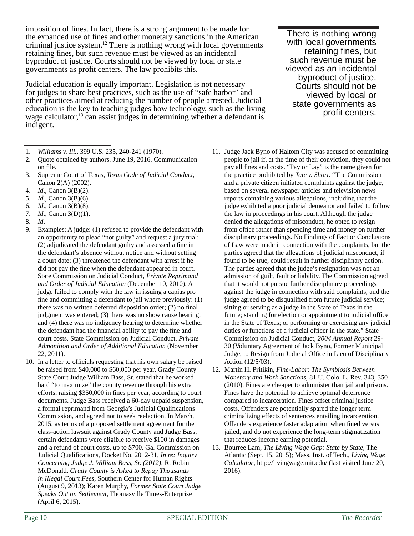imposition of fines. In fact, there is a strong argument to be made for the expanded use of fines and other monetary sanctions in the American criminal justice system.12 There is nothing wrong with local governments retaining fines, but such revenue must be viewed as an incidental byproduct of justice. Courts should not be viewed by local or state governments as profit centers. The law prohibits this.

Judicial education is equally important. Legislation is not necessary for judges to share best practices, such as the use of "safe harbor" and other practices aimed at reducing the number of people arrested. Judicial education is the key to teaching judges how technology, such as the living wage calculator,<sup>13</sup> can assist judges in determining whether a defendant is indigent.

- 1. *Williams v. Ill.*, 399 U.S. 235, 240-241 (1970).
- 2. Quote obtained by authors. June 19, 2016. Communication on file.
- 3. Supreme Court of Texas, *Texas Code of Judicial Conduct*, Canon 2(A) (2002).
- 4. *Id*., Canon 3(B)(2).
- 5. *Id*., Canon 3(B)(6).
- 6. *Id*., Canon 3(B)(8).
- 7. *Id.*, Canon 3(D)(1).
- 8. *Id*.
- 9. Examples: A judge: (1) refused to provide the defendant with an opportunity to plead "not guilty" and request a jury trial;  $(2)$  adjudicated the defendant guilty and assessed a fine in the defendant's absence without notice and without setting a court date; (3) threatened the defendant with arrest if he did not pay the fine when the defendant appeared in court. State Commission on Judicial Conduct, *Private Reprimand and Order of Judicial Education* (December 10, 2010). A judge failed to comply with the law in issuing a capias pro fine and committing a defendant to jail where previously:  $(1)$ there was no written deferred disposition order;  $(2)$  no final judgment was entered; (3) there was no show cause hearing; and (4) there was no indigency hearing to determine whether the defendant had the financial ability to pay the fine and court costs. State Commission on Judicial Conduct, *Private Admonition and Order of Additional Education* (November 22, 2011).
- 10. In a letter to officials requesting that his own salary be raised be raised from \$40,000 to \$60,000 per year, Grady County State Court Judge William Bass, Sr. stated that he worked hard "to maximize" the county revenue through his extra efforts, raising \$350,000 in fines per year, according to court documents. Judge Bass received a 60-day unpaid suspension, a formal reprimand from Georgia's Judicial Qualifications Commission, and agreed not to seek reelection. In March, 2015, as terms of a proposed settlement agreement for the class-action lawsuit against Grady County and Judge Bass, certain defendants were eligible to receive \$100 in damages and a refund of court costs, up to \$700. Ga. Commission on Judicial Qualifications, Docket No. 2012-31, *In re: Inquiry Concerning Judge J. William Bass, Sr. (2012)*; R. Robin McDonald, *Grady County is Asked to Repay Thousands in Illegal Court Fees*, Southern Center for Human Rights (August 9, 2013); Karen Murphy, *Former State Court Judge Speaks Out on Settlement*, Thomasville Times-Enterprise (April 6, 2015).

There is nothing wrong with local governments retaining fines, but such revenue must be viewed as an incidental byproduct of justice. Courts should not be viewed by local or state governments as profit centers.

- 11. Judge Jack Byno of Haltom City was accused of committing people to jail if, at the time of their conviction, they could not pay all fines and costs. "Pay or Lay" is the name given for the practice prohibited by *Tate v. Short*. "The Commission and a private citizen initiated complaints against the judge, based on several newspaper articles and television news reports containing various allegations, including that the judge exhibited a poor judicial demeanor and failed to follow the law in proceedings in his court. Although the judge denied the allegations of misconduct, he opted to resign from office rather than spending time and money on further disciplinary proceedings. No Findings of Fact or Conclusions of Law were made in connection with the complaints, but the parties agreed that the allegations of judicial misconduct, if found to be true, could result in further disciplinary action. The parties agreed that the judge's resignation was not an admission of guilt, fault or liability. The Commission agreed that it would not pursue further disciplinary proceedings against the judge in connection with said complaints, and the judge agreed to be disqualified from future judicial service; sitting or serving as a judge in the State of Texas in the future; standing for election or appointment to judicial office in the State of Texas; or performing or exercising any judicial duties or functions of a judicial officer in the state." State Commission on Judicial Conduct, *2004 Annual Report* 29- 30 (Voluntary Agreement of Jack Byno, Former Municipal Judge, to Resign from Judicial Office in Lieu of Disciplinary Action (12/5/03).
- 12. Martin H. Pritikin, *Fine-Labor: The Symbiosis Between Monetary and Work Sanctions*, 81 U. Colo. L. Rev. 343, 350 (2010). Fines are cheaper to administer than jail and prisons. Fines have the potential to achieve optimal deterrence compared to incarceration. Fines offset criminal justice costs. Offenders are potentially spared the longer term criminalizing effects of sentences entailing incarceration. Offenders experience faster adaptation when fined versus jailed, and do not experience the long-term stigmatization that reduces income earning potential.
- 13. Bourree Lam, *The Living Wage Gap: State by State*, The Atlantic (Sept. 15, 2015); Mass. Inst. of Tech., *Living Wage Calculator*, http://livingwage.mit.edu/ (last visited June 20, 2016).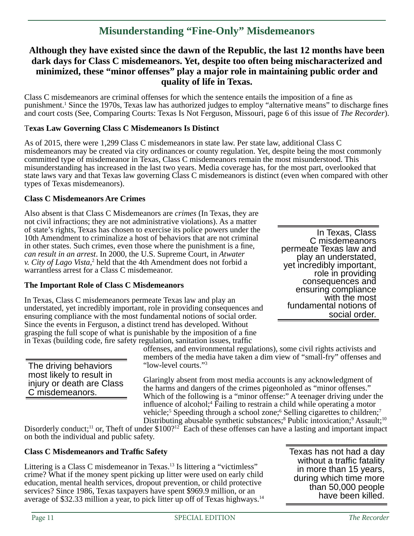# **Misunderstanding "Fine-Only" Misdemeanors**

### **Although they have existed since the dawn of the Republic, the last 12 months have been dark days for Class C misdemeanors. Yet, despite too often being mischaracterized and minimized, these "minor offenses" play a major role in maintaining public order and quality of life in Texas.**

Class C misdemeanors are criminal offenses for which the sentence entails the imposition of a fine as punishment.<sup>1</sup> Since the 1970s, Texas law has authorized judges to employ "alternative means" to discharge fines and court costs (See, Comparing Courts: Texas Is Not Ferguson, Missouri, page 6 of this issue of *The Recorder*).

#### T**exas Law Governing Class C Misdemeanors Is Distinct**

As of 2015, there were 1,299 Class C misdemeanors in state law. Per state law, additional Class C misdemeanors may be created via city ordinances or county regulation. Yet, despite being the most commonly committed type of misdemeanor in Texas, Class C misdemeanors remain the most misunderstood. This misunderstanding has increased in the last two years. Media coverage has, for the most part, overlooked that state laws vary and that Texas law governing Class C misdemeanors is distinct (even when compared with other types of Texas misdemeanors).

#### **Class C Misdemeanors Are Crimes**

Also absent is that Class C Misdemeanors are *crimes* (In Texas, they are not civil infractions; they are not administrative violations). As a matter of state's rights, Texas has chosen to exercise its police powers under the 10th Amendment to criminalize a host of behaviors that are not criminal in other states. Such crimes, even those where the punishment is a fine, *can result in an arrest*. In 2000, the U.S. Supreme Court, in *Atwater v. City of Lago Vista*, 2 held that the 4th Amendment does not forbid a warrantless arrest for a Class C misdemeanor.

#### **The Important Role of Class C Misdemeanors**

In Texas, Class C misdemeanors permeate Texas law and play an understated, yet incredibly important, role in providing consequences and ensuring compliance with the most fundamental notions of social order. Since the events in Ferguson, a distinct trend has developed. Without grasping the full scope of what is punishable by the imposition of a fine

In Texas, Class C misdemeanors<br>permeate Texas law and play an understated,<br>yet incredibly important,<br>role in providing<br>consequences and ensuring compliance with the most fundamental notions of social order.

in Texas (building code, fire safety regulation, sanitation issues, traffic

The driving behaviors most likely to result in injury or death are Class C misdemeanors.

offenses, and environmental regulations), some civil rights activists and members of the media have taken a dim view of "small-fry" offenses and "low-level courts."3

Glaringly absent from most media accounts is any acknowledgment of the harms and dangers of the crimes pigeonholed as "minor offenses." Which of the following is a "minor offense:" A teenager driving under the influence of alcohol;<sup>4</sup> Failing to restrain a child while operating a motor vehicle;<sup>5</sup> Speeding through a school zone;<sup>6</sup> Selling cigarettes to children;<sup>7</sup> Distributing abusable synthetic substances;<sup>8</sup> Public intoxication;<sup>9</sup> Assault;<sup>10</sup>

Disorderly conduct;<sup>11</sup> or, Theft of under \$100?<sup>12</sup> Each of these offenses can have a lasting and important impact on both the individual and public safety.

#### **Class C Misdemeanors and Traffi c Safety**

Littering is a Class C misdemeanor in Texas.<sup>13</sup> Is littering a "victimless" crime? What if the money spent picking up litter were used on early child education, mental health services, dropout prevention, or child protective services? Since 1986, Texas taxpayers have spent \$969.9 million, or an average of \$32.33 million a year, to pick litter up off of Texas highways.14 Texas has not had a day without a traffic fatality in more than 15 years, during which time more than 50,000 people have been killed.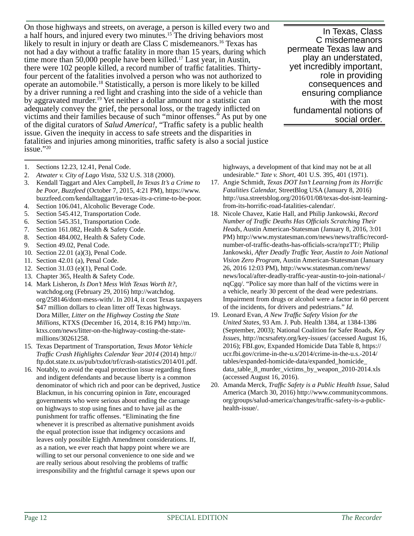On those highways and streets, on average, a person is killed every two and a half hours, and injured every two minutes.15 The driving behaviors most likely to result in injury or death are Class C misdemeanors.<sup>16</sup> Texas has not had a day without a traffic fatality in more than 15 years, during which time more than 50,000 people have been killed.<sup>17</sup> Last year, in Austin, there were 102 people killed, a record number of traffic fatalities. Thirtyfour percent of the fatalities involved a person who was not authorized to operate an automobile.18 Statistically, a person is more likely to be killed by a driver running a red light and crashing into the side of a vehicle than by aggravated murder.19 Yet neither a dollar amount nor a statistic can adequately convey the grief, the personal loss, or the tragedy inflicted on victims and their families because of such "minor offenses." As put by one of the digital curators of *Salud America!*, "Traffic safety is a public health issue. Given the inequity in access to safe streets and the disparities in fatalities and injuries among minorities, traffic safety is also a social justice issue."20

In Texas, Class C misdemeanors permeate Texas law and play an understated, yet incredibly important, role in providing consequences and ensuring compliance with the most fundamental notions of social order.

- 1. Sections 12.23, 12.41, Penal Code.
- 2. *Atwater v. City of Lago Vista,* 532 U.S. 318 (2000).
- 3. Kendall Taggart and Alex Campbell, *In Texas It's a Crime to be Poor*, *Buzzfeed* (October 7, 2015, 4:21 PM), https://www. buzzfeed.com/kendalltaggart/in-texas-its-a-crime-to-be-poor.
- 4. Section 106.041, Alcoholic Beverage Code.
- 5. Section 545.412, Transportation Code.
- 6. Section 545.351, Transportation Code.
- 7. Section 161.082, Health & Safety Code.
- 8. Section 484.002, Health & Safety Code.
- 9. Section 49.02, Penal Code.
- 10. Section 22.01 (a)(3), Penal Code.
- 11. Section 42.01 (a), Penal Code.
- 12. Section 31.03 (e)(1), Penal Code.
- 13. Chapter 365, Health & Safety Code.
- 14. Mark Lisheron, *Is Don't Mess With Texas Worth It?*, watchdog.org (February 29, 2016) http://watchdog. org/258146/dont-mess-with/. In 2014, it cost Texas taxpayers \$47 million dollars to clean litter off Texas highways. Dora Miller, *Litter on the Highway Costing the State Millions*, KTXS (December 16, 2014, 8:16 PM) http://m. ktxs.com/news/litter-on-the-highway-costing-the-statemillions/30261258.
- 15. Texas Department of Transportation, *Texas Motor Vehicle Traffi c Crash Highlights Calendar Year 2014* (2014) http:// ftp.dot.state.tx.us/pub/txdot/trf/crash-statistics/2014/01.pdf.
- 16. Notably, to avoid the equal protection issue regarding fines and indigent defendants and because liberty is a common denominator of which rich and poor can be deprived, Justice Blackmun, in his concurring opinion in *Tate*, encouraged governments who were serious about ending the carnage on highways to stop using fines and to have jail as the punishment for traffic offenses. "Eliminating the fine whenever it is prescribed as alternative punishment avoids the equal protection issue that indigency occasions and leaves only possible Eighth Amendment considerations. If, as a nation, we ever reach that happy point where we are willing to set our personal convenience to one side and we are really serious about resolving the problems of traffic irresponsibility and the frightful carnage it spews upon our

highways, a development of that kind may not be at all undesirable." *Tate v. Short*, 401 U.S. 395, 401 (1971).

- 17. Angie Schmidt, *Texas DOT Isn't Learning from its Horrific Fatalities Calendar,* StreetBlog USA (January 8, 2016) http://usa.streetsblog.org/2016/01/08/texas-dot-isnt-learningfrom-its-horrific-road-fatalities-calendar/.
- 18. Nicole Chavez, Katie Hall, and Philip Jankowski, *Record Number of Traffi c Deaths Has Offi cials Scratching Their Heads*, Austin American-Statesman (January 8, 2016, 3:01 PM) http://www.mystatesman.com/news/news/traffic/recordnumber-of-traffic-deaths-has-officials-scra/npzTT/; Philip Jankowski, *After Deadly Traffi c Year, Austin to Join National Vision Zero Program*, Austin American-Statesman (January 26, 2016 12:03 PM), http://www.statesman.com/news/ news/local/after-deadly-traffic-year-austin-to-join-national-/ nqCgq/. "Police say more than half of the victims were in a vehicle, nearly 30 percent of the dead were pedestrians. Impairment from drugs or alcohol were a factor in 60 percent of the incidents, for drivers and pedestrians." *Id.*
- 19. Leonard Evan, *A New Traffic Safety Vision for the United States,* 93 Am. J. Pub. Health 1384, at 1384-1386 (September, 2003); National Coalition for Safer Roads, *Key Issues*, http://ncsrsafety.org/key-issues/ (accessed August 16, 2016); FBI.gov, Expanded Homicide Data Table 8, https:// ucr.fbi.gov/crime-in-the-u.s/2014/crime-in-the-u.s.-2014/ tables/expanded-homicide-data/expanded\_homicide\_ data table 8 murder victims by weapon 2010-2014.xls (accessed August 16, 2016).
- 20. Amanda Merck, *Traffi c Safety is a Public Health Issue*, Salud America (March 30, 2016) http://www.communitycommons. org/groups/salud-america/changes/traffic-safety-is-a-publichealth-issue/.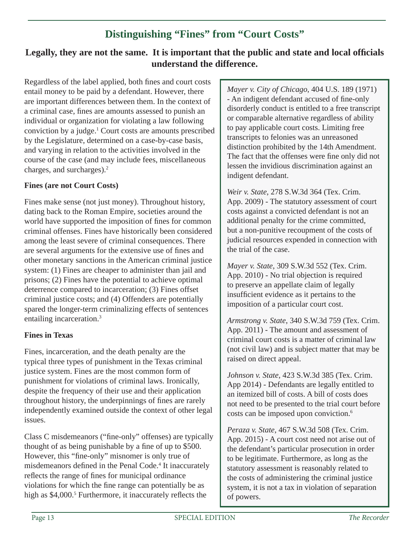# **Distinguishing "Fines" from "Court Costs"**

# Legally, they are not the same. It is important that the public and state and local officials **understand the difference.**

Regardless of the label applied, both fines and court costs entail money to be paid by a defendant. However, there are important differences between them. In the context of a criminal case, fines are amounts assessed to punish an individual or organization for violating a law following conviction by a judge.1 Court costs are amounts prescribed by the Legislature, determined on a case-by-case basis, and varying in relation to the activities involved in the course of the case (and may include fees, miscellaneous charges, and surcharges).2

### **Fines (are not Court Costs)**

Fines make sense (not just money). Throughout history, dating back to the Roman Empire, societies around the world have supported the imposition of fines for common criminal offenses. Fines have historically been considered among the least severe of criminal consequences. There are several arguments for the extensive use of fines and other monetary sanctions in the American criminal justice system: (1) Fines are cheaper to administer than jail and prisons; (2) Fines have the potential to achieve optimal deterrence compared to incarceration; (3) Fines offset criminal justice costs; and (4) Offenders are potentially spared the longer-term criminalizing effects of sentences entailing incarceration.3

### **Fines in Texas**

Fines, incarceration, and the death penalty are the typical three types of punishment in the Texas criminal justice system. Fines are the most common form of punishment for violations of criminal laws. Ironically, despite the frequency of their use and their application throughout history, the underpinnings of fines are rarely independently examined outside the context of other legal issues.

Class C misdemeanors ("fine-only" offenses) are typically thought of as being punishable by a fine of up to \$500. However, this "fine-only" misnomer is only true of misdemeanors defined in the Penal Code.<sup>4</sup> It inaccurately reflects the range of fines for municipal ordinance violations for which the fine range can potentially be as high as \$4,000.<sup>5</sup> Furthermore, it inaccurately reflects the

*Mayer v. City of Chicago*, 404 U.S. 189 (1971) - An indigent defendant accused of fine-only disorderly conduct is entitled to a free transcript or comparable alternative regardless of ability to pay applicable court costs. Limiting free transcripts to felonies was an unreasoned distinction prohibited by the 14th Amendment. The fact that the offenses were fine only did not lessen the invidious discrimination against an indigent defendant.

*Weir v. State*, 278 S.W.3d 364 (Tex. Crim. App. 2009) - The statutory assessment of court costs against a convicted defendant is not an additional penalty for the crime committed, but a non-punitive recoupment of the costs of judicial resources expended in connection with the trial of the case.

*Mayer v. State*, 309 S.W.3d 552 (Tex. Crim. App. 2010) - No trial objection is required to preserve an appellate claim of legally insufficient evidence as it pertains to the imposition of a particular court cost.

*Armstrong v. State*, 340 S.W.3d 759 (Tex. Crim. App. 2011) - The amount and assessment of criminal court costs is a matter of criminal law (not civil law) and is subject matter that may be raised on direct appeal.

*Johnson v. State*, 423 S.W.3d 385 (Tex. Crim. App 2014) - Defendants are legally entitled to an itemized bill of costs. A bill of costs does not need to be presented to the trial court before costs can be imposed upon conviction.6

*Peraza v. State*, 467 S.W.3d 508 (Tex. Crim. App. 2015) - A court cost need not arise out of the defendant's particular prosecution in order to be legitimate. Furthermore, as long as the statutory assessment is reasonably related to the costs of administering the criminal justice system, it is not a tax in violation of separation of powers.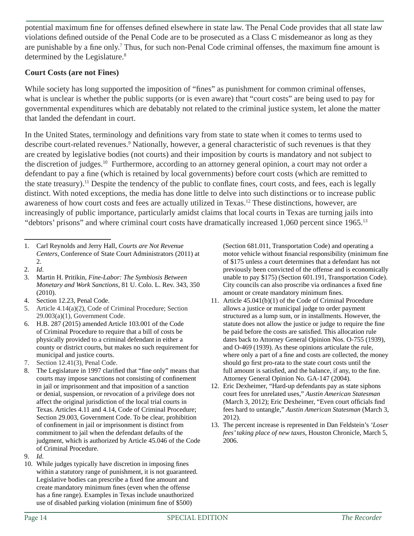potential maximum fine for offenses defined elsewhere in state law. The Penal Code provides that all state law violations defined outside of the Penal Code are to be prosecuted as a Class C misdemeanor as long as they are punishable by a fine only.<sup>7</sup> Thus, for such non-Penal Code criminal offenses, the maximum fine amount is determined by the Legislature.<sup>8</sup>

### **Court Costs (are not Fines)**

While society has long supported the imposition of "fines" as punishment for common criminal offenses, what is unclear is whether the public supports (or is even aware) that "court costs" are being used to pay for governmental expenditures which are debatably not related to the criminal justice system, let alone the matter that landed the defendant in court.

In the United States, terminology and definitions vary from state to state when it comes to terms used to describe court-related revenues.<sup>9</sup> Nationally, however, a general characteristic of such revenues is that they are created by legislative bodies (not courts) and their imposition by courts is mandatory and not subject to the discretion of judges.<sup>10</sup> Furthermore, according to an attorney general opinion, a court may not order a defendant to pay a fine (which is retained by local governments) before court costs (which are remitted to the state treasury).<sup>11</sup> Despite the tendency of the public to conflate fines, court costs, and fees, each is legally distinct. With noted exceptions, the media has done little to delve into such distinctions or to increase public awareness of how court costs and fees are actually utilized in Texas.12 These distinctions, however, are increasingly of public importance, particularly amidst claims that local courts in Texas are turning jails into "debtors' prisons" and where criminal court costs have dramatically increased 1,060 percent since 1965.<sup>13</sup>

1. Carl Reynolds and Jerry Hall, *Courts are Not Revenue Centers*, Conference of State Court Administrators (2011) at 2.

- 3. Martin H. Pritikin, *Fine-Labor: The Symbiosis Between Monetary and Work Sanctions*, 81 U. Colo. L. Rev. 343, 350 (2010).
- 4. Section 12.23, Penal Code.
- 5. Article 4.14(a)(2), Code of Criminal Procedure; Section 29.003(a)(1), Government Code.
- 6. H.B. 287 (2015) amended Article 103.001 of the Code of Criminal Procedure to require that a bill of costs be physically provided to a criminal defendant in either a county or district courts, but makes no such requirement for municipal and justice courts.
- 7. Section 12.41(3), Penal Code.
- 8. The Legislature in 1997 clarified that "fine only" means that courts may impose sanctions not consisting of confinement in jail or imprisonment and that imposition of a sanction or denial, suspension, or revocation of a privilege does not affect the original jurisdiction of the local trial courts in Texas. Articles 4.11 and 4.14, Code of Criminal Procedure; Section 29.003, Government Code. To be clear, prohibition of confinement in jail or imprisonment is distinct from commitment to jail when the defendant defaults of the judgment, which is authorized by Article 45.046 of the Code of Criminal Procedure.

10. While judges typically have discretion in imposing fines within a statutory range of punishment, it is not guaranteed. Legislative bodies can prescribe a fixed fine amount and create mandatory minimum fines (even when the offense has a fine range). Examples in Texas include unauthorized use of disabled parking violation (minimum fine of \$500)

(Section 681.011, Transportation Code) and operating a motor vehicle without financial responsibility (minimum fine of \$175 unless a court determines that a defendant has not previously been convicted of the offense and is economically unable to pay \$175) (Section 601.191, Transportation Code). City councils can also proscribe via ordinances a fixed fine amount or create mandatory minimum fines.

- 11. Article 45.041(b)(1) of the Code of Criminal Procedure allows a justice or municipal judge to order payment structured as a lump sum, or in installments. However, the statute does not allow the justice or judge to require the fine be paid before the costs are satisfied. This allocation rule dates back to Attorney General Opinion Nos. O-755 (1939), and O-469 (1939). As these opinions articulate the rule, where only a part of a fine and costs are collected, the money should go first pro-rata to the state court costs until the full amount is satisfied, and the balance, if any, to the fine. Attorney General Opinion No. GA-147 (2004).
- 12. Eric Dexheimer, "Hard-up defendants pay as state siphons court fees for unrelated uses," *Austin American Statesman* (March 3, 2012); Eric Dexheimer, "Even court officials find fees hard to untangle," *Austin American Statesman* (March 3, 2012).
- 13. The percent increase is represented in Dan Feldstein's *'Loser fees' taking place of new taxes*, Houston Chronicle, March 5, 2006.

<sup>2.</sup> *Id*.

<sup>9.</sup> *Id*.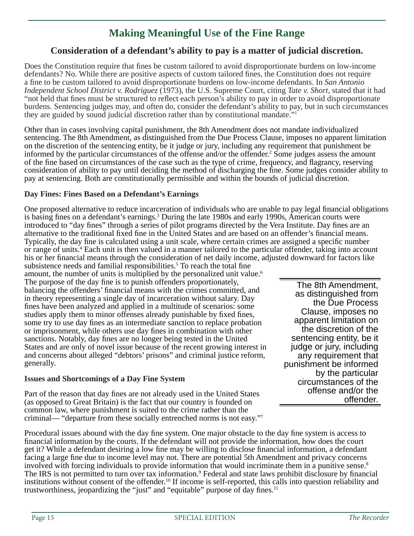# **Making Meaningful Use of the Fine Range**

# **Consideration of a defendant's ability to pay is a matter of judicial discretion.**

Does the Constitution require that fines be custom tailored to avoid disproportionate burdens on low-income defendants? No. While there are positive aspects of custom tailored fines, the Constitution does not require a fine to be custom tailored to avoid disproportionate burdens on low-income defendants. In *San Antonio Independent School District v. Rodriguez* (1973), the U.S. Supreme Court, citing *Tate v. Short*, stated that it had "not held that fines must be structured to reflect each person's ability to pay in order to avoid disproportionate burdens. Sentencing judges may, and often do, consider the defendant's ability to pay, but in such circumstances they are guided by sound judicial discretion rather than by constitutional mandate." Ĩ

Other than in cases involving capital punishment, the 8th Amendment does not mandate individualized sentencing. The 8th Amendment, as distinguished from the Due Process Clause, imposes no apparent limitation on the discretion of the sentencing entity, be it judge or jury, including any requirement that punishment be informed by the particular circumstances of the offense and/or the offender.2 Some judges assess the amount of the fine based on circumstances of the case such as the type of crime, frequency, and flagrancy, reserving consideration of ability to pay until deciding the method of discharging the fine. Some judges consider ability to pay at sentencing. Both are constitutionally permissible and within the bounds of judicial discretion.

#### **Day Fines: Fines Based on a Defendant's Earnings**

One proposed alternative to reduce incarceration of individuals who are unable to pay legal financial obligations is basing fines on a defendant's earnings.<sup>3</sup> During the late 1980s and early 1990s, American courts were introduced to "day fines" through a series of pilot programs directed by the Vera Institute. Day fines are an alternative to the traditional fixed fine in the United States and are based on an offender's financial means. Typically, the day fine is calculated using a unit scale, where certain crimes are assigned a specific number or range of units.<sup>4</sup> Each unit is then valued in a manner tailored to the particular offender, taking into account his or her financial means through the consideration of net daily income, adjusted downward for factors like

subsistence needs and familial responsibilities.<sup>5</sup> To reach the total fine amount, the number of units is multiplied by the personalized unit value.<sup>6</sup> The purpose of the day fine is to punish offenders proportionately, balancing the offenders' financial means with the crimes committed, and in theory representing a single day of incarceration without salary. Day fines have been analyzed and applied in a multitude of scenarios: some studies apply them to minor offenses already punishable by fixed fines, some try to use day fines as an intermediate sanction to replace probation or imprisonment, while others use day fines in combination with other sanctions. Notably, day fines are no longer being tested in the United States and are only of novel issue because of the recent growing interest in and concerns about alleged "debtors' prisons" and criminal justice reform, generally.

#### **Issues and Shortcomings of a Day Fine System**

Part of the reason that day fines are not already used in the United States (as opposed to Great Britain) is the fact that our country is founded on common law, where punishment is suited to the crime rather than the criminal— "departure from these socially entrenched norms is not easy."7

The 8th Amendment, as distinguished from the Due Process Clause, imposes no apparent limitation on the discretion of the sentencing entity, be it judge or jury, including any requirement that punishment be informed by the particular circumstances of the offense and/or the offender.

Procedural issues abound with the day fine system. One major obstacle to the day fine system is access to financial information by the courts. If the defendant will not provide the information, how does the court get it? While a defendant desiring a low fine may be willing to disclose financial information, a defendant facing a large fine due to income level may not. There are potential 5th Amendment and privacy concerns involved with forcing individuals to provide information that would incriminate them in a punitive sense.<sup>8</sup> The IRS is not permitted to turn over tax information.<sup>9</sup> Federal and state laws prohibit disclosure by financial institutions without consent of the offender.10 If income is self-reported, this calls into question reliability and trustworthiness, jeopardizing the "just" and "equitable" purpose of day fines.<sup>11</sup>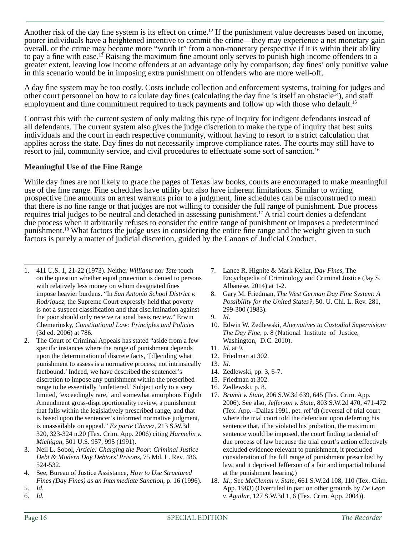Another risk of the day fine system is its effect on crime.<sup>12</sup> If the punishment value decreases based on income, poorer individuals have a heightened incentive to commit the crime—they may experience a net monetary gain overall, or the crime may become more "worth it" from a non-monetary perspective if it is within their ability to pay a fine with ease.<sup>13</sup> Raising the maximum fine amount only serves to punish high income offenders to a greater extent, leaving low income offenders at an advantage only by comparison; day fines' only punitive value in this scenario would be in imposing extra punishment on offenders who are more well-off.

A day fine system may be too costly. Costs include collection and enforcement systems, training for judges and other court personnel on how to calculate day fines (calculating the day fine is itself an obstacle<sup>14</sup>), and staff employment and time commitment required to track payments and follow up with those who default.<sup>15</sup>

Contrast this with the current system of only making this type of inquiry for indigent defendants instead of all defendants. The current system also gives the judge discretion to make the type of inquiry that best suits individuals and the court in each respective community, without having to resort to a strict calculation that applies across the state. Day fines do not necessarily improve compliance rates. The courts may still have to resort to jail, community service, and civil procedures to effectuate some sort of sanction.16

#### **Meaningful Use of the Fine Range**

While day fines are not likely to grace the pages of Texas law books, courts are encouraged to make meaningful use of the fine range. Fine schedules have utility but also have inherent limitations. Similar to writing prospective fine amounts on arrest warrants prior to a judgment, fine schedules can be misconstrued to mean that there is no fine range or that judges are not willing to consider the full range of punishment. Due process requires trial judges to be neutral and detached in assessing punishment.17 A trial court denies a defendant due process when it arbitrarily refuses to consider the entire range of punishment or imposes a predetermined punishment.<sup>18</sup> What factors the judge uses in considering the entire fine range and the weight given to such factors is purely a matter of judicial discretion, guided by the Canons of Judicial Conduct.

- 3. Neil L. Sobol, *Article: Charging the Poor: Criminal Justice Debt & Modern Day Debtors' Prisons*, 75 Md. L. Rev. 486, 524-532.
- 4. See, Bureau of Justice Assistance, *How to Use Structured Fines (Day Fines) as an Intermediate Sanction*, p. 16 (1996).
- 5. *Id.*
- 6. *Id.*
- 7. Lance R. Hignite & Mark Kellar, *Day Fines*, The Encyclopedia of Criminology and Criminal Justice (Jay S. Albanese, 2014) at 1-2.
- 8. Gary M. Friedman, *The West German Day Fine System: A Possibility for the United States?*, 50. U. Chi. L. Rev. 281, 299-300 (1983).
- 9. *Id*.
- 10. Edwin W. Zedlewski, *Alternatives to Custodial Supervision: The Day Fine*, p. 8 (National Institute of Justice, Washington, D.C. 2010).
- 11. *Id*. at 9.
- 12. Friedman at 302.
- 13. *Id*.
- 14. Zedlewski, pp. 3, 6-7.
- 15. Friedman at 302.
- 16. Zedlewski, p. 8.
- 17. *Brumit v. State*, 206 S.W.3d 639, 645 (Tex. Crim. App. 2006). See also, *Jefferson v. State*, 803 S.W.2d 470, 471-472 (Tex. App.--Dallas 1991, pet. ref'd) (reversal of trial court where the trial court told the defendant upon deferring his sentence that, if he violated his probation, the maximum sentence would be imposed, the court finding ta denial of due process of law because the trial court's action effectively excluded evidence relevant to punishment, it precluded consideration of the full range of punishment prescribed by law, and it deprived Jefferson of a fair and impartial tribunal at the punishment hearing.)
- 18. *Id*.; See *McClenan v. State*, 661 S.W.2d 108, 110 (Tex. Crim. App. 1983) (Overruled in part on other grounds by *De Leon v. Aguilar*, 127 S.W.3d 1, 6 (Tex. Crim. App. 2004)).

<sup>1. 411</sup> U.S. 1, 21-22 (1973). Neither *Williams* nor *Tate* touch on the question whether equal protection is denied to persons with relatively less money on whom designated fines impose heavier burdens. "In *San Antonio School District v. Rodriguez*, the Supreme Court expressly held that poverty is not a suspect classification and that discrimination against the poor should only receive rational basis review." Erwin Chemerinsky, *Constitutional Law: Principles and Policies* (3d ed. 2006) at 786.

<sup>2.</sup> The Court of Criminal Appeals has stated "aside from a few specific instances where the range of punishment depends upon the determination of discrete facts, '[d]eciding what punishment to assess is a normative process, not intrinsically factbound.' Indeed, we have described the sentencer's discretion to impose any punishment within the prescribed range to be essentially 'unfettered.' Subject only to a very limited, 'exceedingly rare,' and somewhat amorphous Eighth Amendment gross-disproportionality review, a punishment that falls within the legislatively prescribed range, and that is based upon the sentencer's informed normative judgment, is unassailable on appeal." *Ex parte Chavez*, 213 S.W.3d 320, 323-324 n.20 (Tex. Crim. App. 2006) citing *Harmelin v. Michigan*, 501 U.S. 957, 995 (1991).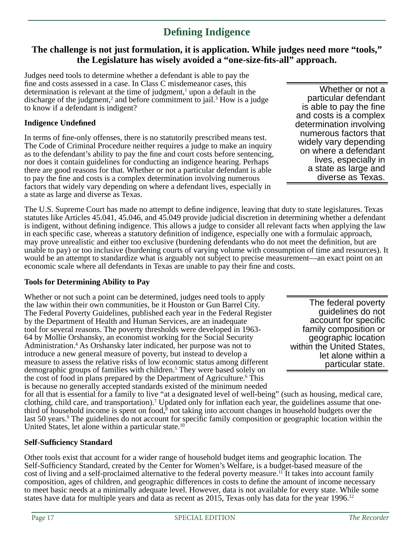# **Defi ning Indigence**

# **The challenge is not just formulation, it is application. While judges need more "tools," the Legislature has wisely avoided a "one-size-fi ts-all" approach.**

Judges need tools to determine whether a defendant is able to pay the fine and costs assessed in a case. In Class C misdemeanor cases, this determination is relevant at the time of judgment, $<sup>1</sup>$  upon a default in the</sup> discharge of the judgment,<sup>2</sup> and before commitment to jail.<sup>3</sup> How is a judge to know if a defendant is indigent?

### **Indigence Undefi ned**

In terms of fine-only offenses, there is no statutorily prescribed means test. The Code of Criminal Procedure neither requires a judge to make an inquiry as to the defendant's ability to pay the fine and court costs before sentencing, nor does it contain guidelines for conducting an indigence hearing. Perhaps there are good reasons for that. Whether or not a particular defendant is able to pay the fine and costs is a complex determination involving numerous factors that widely vary depending on where a defendant lives, especially in a state as large and diverse as Texas.

The U.S. Supreme Court has made no attempt to define indigence, leaving that duty to state legislatures. Texas statutes like Articles 45.041, 45.046, and 45.049 provide judicial discretion in determining whether a defendant is indigent, without defining indigence. This allows a judge to consider all relevant facts when applying the law in each specific case, whereas a statutory definition of indigence, especially one with a formulaic approach, may prove unrealistic and either too exclusive (burdening defendants who do not meet the definition, but are unable to pay) or too inclusive (burdening courts of varying volume with consumption of time and resources). It would be an attempt to standardize what is arguably not subject to precise measurement—an exact point on an economic scale where all defendants in Texas are unable to pay their fine and costs.

#### **Tools for Determining Ability to Pay**

Whether or not such a point can be determined, judges need tools to apply the law within their own communities, be it Houston or Gun Barrel City. The Federal Poverty Guidelines, published each year in the Federal Register by the Department of Health and Human Services, are an inadequate tool for several reasons. The poverty thresholds were developed in 1963- 64 by Mollie Orshansky, an economist working for the Social Security Administration.4 As Orshansky later indicated, her purpose was not to introduce a new general measure of poverty, but instead to develop a measure to assess the relative risks of low economic status among different demographic groups of families with children.5 They were based solely on the cost of food in plans prepared by the Department of Agriculture.<sup>6</sup> This is because no generally accepted standards existed of the minimum needed

for all that is essential for a family to live "at a designated level of well-being" (such as housing, medical care, clothing, child care, and transportation).<sup>7</sup> Updated only for inflation each year, the guidelines assume that onethird of household income is spent on food, $\bar{s}$  not taking into account changes in household budgets over the last 50 years.<sup>9</sup> The guidelines do not account for specific family composition or geographic location within the United States, let alone within a particular state.10

#### **Self-Suffi ciency Standard**

Other tools exist that account for a wider range of household budget items and geographic location. The Self-Sufficiency Standard, created by the Center for Women's Welfare, is a budget-based measure of the cost of living and a self-proclaimed alternative to the federal poverty measure.<sup>11</sup> It takes into account family composition, ages of children, and geographic differences in costs to define the amount of income necessary to meet basic needs at a minimally adequate level. However, data is not available for every state. While some states have data for multiple years and data as recent as 2015, Texas only has data for the year  $1996$ <sup>12</sup>

Whether or not a particular defendant is able to pay the fine and costs is a complex determination involving numerous factors that widely vary depending on where a defendant lives, especially in a state as large and diverse as Texas.

The federal poverty guidelines do not account for specific family composition or geographic location within the United States, let alone within a particular state.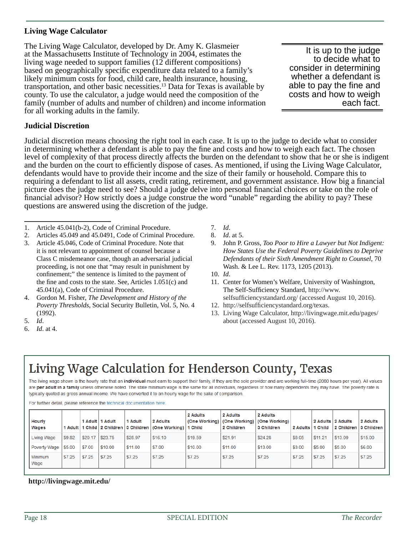#### **Living Wage Calculator**

The Living Wage Calculator, developed by Dr. Amy K. Glasmeier at the Massachusetts Institute of Technology in 2004, estimates the living wage needed to support families (12 different compositions) based on geographically specific expenditure data related to a family's likely minimum costs for food, child care, health insurance, housing, transportation, and other basic necessities.13 Data for Texas is available by county. To use the calculator, a judge would need the composition of the family (number of adults and number of children) and income information for all working adults in the family.

It is up to the judge to decide what to consider in determining whether a defendant is able to pay the fine and costs and how to weigh each fact.

#### **Judicial Discretion**

Judicial discretion means choosing the right tool in each case. It is up to the judge to decide what to consider in determining whether a defendant is able to pay the fine and costs and how to weigh each fact. The chosen level of complexity of that process directly affects the burden on the defendant to show that he or she is indigent and the burden on the court to efficiently dispose of cases. As mentioned, if using the Living Wage Calculator, defendants would have to provide their income and the size of their family or household. Compare this to requiring a defendant to list all assets, credit rating, retirement, and government assistance. How big a financial picture does the judge need to see? Should a judge delve into personal financial choices or take on the role of financial advisor? How strictly does a judge construe the word "unable" regarding the ability to pay? These questions are answered using the discretion of the judge.

- 1. Article 45.041(b-2), Code of Criminal Procedure.
- 2. Articles 45.049 and 45.0491, Code of Criminal Procedure.
- 3. Article 45.046, Code of Criminal Procedure. Note that it is not relevant to appointment of counsel because a Class C misdemeanor case, though an adversarial judicial proceeding, is not one that "may result in punishment by confinement;" the sentence is limited to the payment of the fine and costs to the state. See, Articles  $1.051(c)$  and 45.041(a), Code of Criminal Procedure.
- 4. Gordon M. Fisher, *The Development and History of the Poverty Thresholds*, Social Security Bulletin, Vol. 5, No. 4 (1992).
- 5. *Id*.
- 6. *Id*. at 4.
- 7. *Id*.
- 8. *Id*. at 5.
- 9. John P. Gross, *Too Poor to Hire a Lawyer but Not Indigent: How States Use the Federal Poverty Guidelines to Deprive Defendants of their Sixth Amendment Right to Counsel*, 70 Wash. & Lee L. Rev. 1173, 1205 (2013).
- 10. *Id*.
- 11. Center for Women's Welfare, University of Washington, The Self-Sufficiency Standard, http://www. selfsufficiencystandard.org/ (accessed August 10, 2016).
- 12. http://selfsufficiencystandard.org/texas.
- 13. Living Wage Calculator, http://livingwage.mit.edu/pages/ about (accessed August 10, 2016).

# Living Wage Calculation for Henderson County, Texas

The living wage shown is the hourly rate that an individual must earn to support their family, if they are the sole provider and are working full-time (2080 hours per year). All values are per adult in a family unless otherwise noted. The state minimum wage is the same for all individuals, regardless of how many dependents they may have. The poverty rate is typically quoted as gross annual income. We have converted it to an hourly wage for the sake of comparison.

For further detail, please reference the technical documentation here

| Hourly<br>Wages |        |         | 1 Adult   1 Adult | 1 Adult | 2 Adults<br>1 Adult   1 Child   2 Children   3 Children   (One Working)   1 Child | 2 Adults<br>(One Working) | 2 Adults<br>(One Working)<br>2 Children | 2 Adults<br>(One Working)<br>3 Children | 2 Adults | 2 Adults 2 Adults<br>1 Child |         | 2 Adults<br>2 Children 3 Children |
|-----------------|--------|---------|-------------------|---------|-----------------------------------------------------------------------------------|---------------------------|-----------------------------------------|-----------------------------------------|----------|------------------------------|---------|-----------------------------------|
| Living Wage     | \$9.82 | \$20.17 | \$23.75           | \$28.97 | \$16.10                                                                           | \$19.59                   | \$21.91                                 | \$24.28                                 | \$8.05   | \$11.21                      | \$13.09 | \$15.00                           |
| Poverty Wage    | \$5.00 | \$7.00  | \$10.00           | \$11.00 | \$7.00                                                                            | \$10.00                   | \$11.00                                 | \$13.00                                 | \$3.00   | \$5.00                       | \$5.00  | \$6.00                            |
| Minimum<br>Wage | \$7.25 | \$7.25  | \$7.25            | \$7.25  | \$7.25                                                                            | \$7.25                    | \$7.25                                  | \$7.25                                  | \$7.25   | \$7.25                       | \$7.25  | \$7.25                            |

#### **http://livingwage.mit.edu/**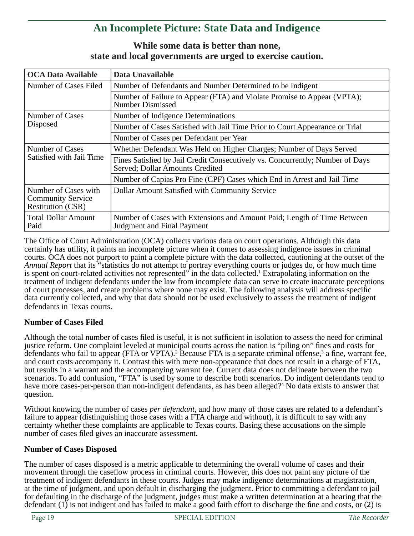# **An Incomplete Picture: State Data and Indigence**

# **While some data is better than none, state and local governments are urged to exercise caution.**

| <b>OCA Data Available</b>                                                    | Data Unavailable                                                                                                 |  |  |  |  |
|------------------------------------------------------------------------------|------------------------------------------------------------------------------------------------------------------|--|--|--|--|
| Number of Cases Filed                                                        | Number of Defendants and Number Determined to be Indigent                                                        |  |  |  |  |
|                                                                              | Number of Failure to Appear (FTA) and Violate Promise to Appear (VPTA);<br><b>Number Dismissed</b>               |  |  |  |  |
| Number of Cases<br>Disposed                                                  | Number of Indigence Determinations                                                                               |  |  |  |  |
|                                                                              | Number of Cases Satisfied with Jail Time Prior to Court Appearance or Trial                                      |  |  |  |  |
|                                                                              | Number of Cases per Defendant per Year                                                                           |  |  |  |  |
| Number of Cases                                                              | Whether Defendant Was Held on Higher Charges; Number of Days Served                                              |  |  |  |  |
| Satisfied with Jail Time                                                     | Fines Satisfied by Jail Credit Consecutively vs. Concurrently; Number of Days<br>Served; Dollar Amounts Credited |  |  |  |  |
|                                                                              | Number of Capias Pro Fine (CPF) Cases which End in Arrest and Jail Time                                          |  |  |  |  |
| Number of Cases with<br><b>Community Service</b><br><b>Restitution (CSR)</b> | Dollar Amount Satisfied with Community Service                                                                   |  |  |  |  |
| <b>Total Dollar Amount</b><br>Paid                                           | Number of Cases with Extensions and Amount Paid; Length of Time Between<br>Judgment and Final Payment            |  |  |  |  |

The Office of Court Administration (OCA) collects various data on court operations. Although this data certainly has utility, it paints an incomplete picture when it comes to assessing indigence issues in criminal courts. OCA does not purport to paint a complete picture with the data collected, cautioning at the outset of the *Annual Report* that its "statistics do not attempt to portray everything courts or judges do, or how much time is spent on court-related activities not represented" in the data collected.<sup>1</sup> Extrapolating information on the treatment of indigent defendants under the law from incomplete data can serve to create inaccurate perceptions of court processes, and create problems where none may exist. The following analysis will address specific data currently collected, and why that data should not be used exclusively to assess the treatment of indigent defendants in Texas courts.

### **Number of Cases Filed**

Although the total number of cases filed is useful, it is not sufficient in isolation to assess the need for criminal justice reform. One complaint leveled at municipal courts across the nation is "piling on" fines and costs for defendants who fail to appear (FTA or VPTA).<sup>2</sup> Because FTA is a separate criminal offense,<sup>3</sup> a fine, warrant fee, and court costs accompany it. Contrast this with mere non-appearance that does not result in a charge of FTA, but results in a warrant and the accompanying warrant fee. Current data does not delineate between the two scenarios. To add confusion, "FTA" is used by some to describe both scenarios. Do indigent defendants tend to have more cases-per-person than non-indigent defendants, as has been alleged?<sup>4</sup> No data exists to answer that question.

Without knowing the number of cases *per defendant*, and how many of those cases are related to a defendant's failure to appear (distinguishing those cases with a FTA charge and without), it is difficult to say with any certainty whether these complaints are applicable to Texas courts. Basing these accusations on the simple number of cases filed gives an inaccurate assessment.

#### **Number of Cases Disposed**

The number of cases disposed is a metric applicable to determining the overall volume of cases and their movement through the caseflow process in criminal courts. However, this does not paint any picture of the treatment of indigent defendants in these courts. Judges may make indigence determinations at magistration, at the time of judgment, and upon default in discharging the judgment. Prior to committing a defendant to jail for defaulting in the discharge of the judgment, judges must make a written determination at a hearing that the defendant  $(1)$  is not indigent and has failed to make a good faith effort to discharge the fine and costs, or  $(2)$  is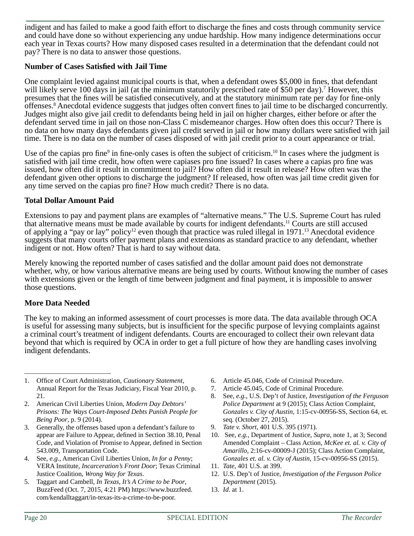indigent and has failed to make a good faith effort to discharge the fines and costs through community service and could have done so without experiencing any undue hardship. How many indigence determinations occur each year in Texas courts? How many disposed cases resulted in a determination that the defendant could not pay? There is no data to answer those questions.

#### **Number of Cases Satisfied with Jail Time**

One complaint levied against municipal courts is that, when a defendant owes \$5,000 in fines, that defendant will likely serve 100 days in jail (at the minimum statutorily prescribed rate of \$50 per day).<sup>7</sup> However, this presumes that the fines will be satisfied consecutively, and at the statutory minimum rate per day for fine-only offenses.<sup>8</sup> Anecdotal evidence suggests that judges often convert fines to jail time to be discharged concurrently. Judges might also give jail credit to defendants being held in jail on higher charges, either before or after the defendant served time in jail on those non-Class C misdemeanor charges. How often does this occur? There is no data on how many days defendants given jail credit served in jail or how many dollars were satisfied with jail time. There is no data on the number of cases disposed of with jail credit prior to a court appearance or trial.

Use of the capias pro fine<sup>9</sup> in fine-only cases is often the subject of criticism.<sup>10</sup> In cases where the judgment is satisfied with jail time credit, how often were capiases pro fine issued? In cases where a capias pro fine was issued, how often did it result in commitment to jail? How often did it result in release? How often was the defendant given other options to discharge the judgment? If released, how often was jail time credit given for any time served on the capias pro fine? How much credit? There is no data.

#### **Total Dollar Amount Paid**

Extensions to pay and payment plans are examples of "alternative means." The U.S. Supreme Court has ruled that alternative means must be made available by courts for indigent defendants.11 Courts are still accused of applying a "pay or lay" policy<sup>12</sup> even though that practice was ruled illegal in 1971.<sup>13</sup> Anecdotal evidence suggests that many courts offer payment plans and extensions as standard practice to any defendant, whether indigent or not. How often? That is hard to say without data.

Merely knowing the reported number of cases satisfied and the dollar amount paid does not demonstrate whether, why, or how various alternative means are being used by courts. Without knowing the number of cases with extensions given or the length of time between judgment and final payment, it is impossible to answer those questions.

#### **More Data Needed**

The key to making an informed assessment of court processes is more data. The data available through OCA is useful for assessing many subjects, but is insufficient for the specific purpose of levying complaints against a criminal court's treatment of indigent defendants. Courts are encouraged to collect their own relevant data beyond that which is required by OCA in order to get a full picture of how they are handling cases involving indigent defendants.

- 1. Office of Court Administration, *Cautionary Statement*, Annual Report for the Texas Judiciary, Fiscal Year 2010, p. 21.
- 2. American Civil Liberties Union, *Modern Day Debtors' Prisons: The Ways Court-Imposed Debts Punish People for Being Poor*, p. 9 (2014).
- 3. Generally, the offenses based upon a defendant's failure to appear are Failure to Appear, defined in Section 38.10, Penal Code, and Violation of Promise to Appear, defined in Section 543.009, Transportation Code.
- 4. See, *e.g.*, American Civil Liberties Union, *In for a Penny*; VERA Institute, *Incarceration's Front Door*; Texas Criminal Justice Coalition, *Wrong Way for Texas*.
- 5. Taggart and Cambell, *In Texas, It's A Crime to be Poor*, BuzzFeed (Oct. 7, 2015, 4:21 PM) https://www.buzzfeed. com/kendalltaggart/in-texas-its-a-crime-to-be-poor.
- 6. Article 45.046, Code of Criminal Procedure.
- 7. Article 45.045, Code of Criminal Procedure.
- 8. See, *e.g.*, U.S. Dep't of Justice, *Investigation of the Ferguson Police Department* at 9 (2015); Class Action Complaint, *Gonzales v. City of Austin*, 1:15-cv-00956-SS, Section 64, et. seq. (October 27, 2015).
- 9. *Tate v. Short*, 401 U.S. 395 (1971).
- 10. See, *e.g.*, Department of Justice, *Supra*, note 1, at 3; Second Amended Complaint – Class Action, *McKee et. al. v. City of Amarillo*, 2:16-cv-00009-J (2015); Class Action Complaint, *Gonzales et. al. v. City of Austin*, 15-cv-00956-SS (2015).
- 11. *Tate*, 401 U.S. at 399.
- 12. U.S. Dep't of Justice, *Investigation of the Ferguson Police Department* (2015).
- 13. *Id*. at 1.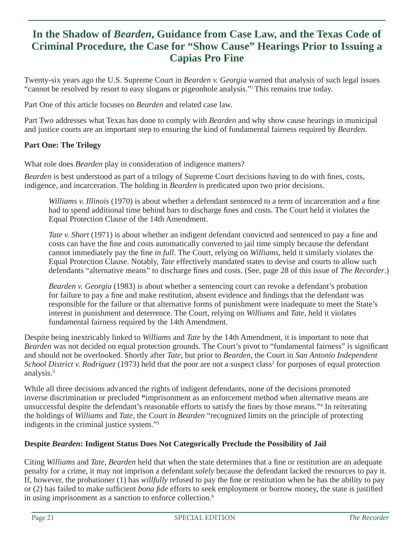# **In the Shadow of** *Bearden***, Guidance from Case Law, and the Texas Code of Criminal Procedure***,* **the Case for "Show Cause" Hearings Prior to Issuing a Capias Pro Fine**

Twenty-six years ago the U.S. Supreme Court in *Bearden v. Georgia* warned that analysis of such legal issues "cannot be resolved by resort to easy slogans or pigeonhole analysis."1This remains true today.

Part One of this article focuses on *Bearden* and related case law.

Part Two addresses what Texas has done to comply with *Bearden* and why show cause hearings in municipal and justice courts are an important step to ensuring the kind of fundamental fairness required by *Bearden*.

#### **Part One: The Trilogy**

What role does *Bearden* play in consideration of indigence matters?

*Bearden* is best understood as part of a trilogy of Supreme Court decisions having to do with fines, costs, indigence, and incarceration. The holding in *Bearden* is predicated upon two prior decisions.

*Williams v. Illinois* (1970) is about whether a defendant sentenced to a term of incarceration and a fine had to spend additional time behind bars to discharge fines and costs. The Court held it violates the Equal Protection Clause of the 14th Amendment.

*Tate v. Short* (1971) is about whether an indigent defendant convicted and sentenced to pay a fine and costs can have the fine and costs automatically converted to jail time simply because the defendant cannot immediately pay the fine *in full*. The Court, relying on *Williams*, held it similarly violates the Equal Protection Clause. Notably, *Tate* effectively mandated states to devise and courts to allow such defendants "alternative means" to discharge fines and costs. (See, page 28 of this issue of *The Recorder*.)

*Bearden v. Georgia* (1983) is about whether a sentencing court can revoke a defendant's probation for failure to pay a fine and make restitution, absent evidence and findings that the defendant was responsible for the failure or that alternative forms of punishment were inadequate to meet the State's interest in punishment and deterrence. The Court, relying on *Williams* and *Tate*, held it violates fundamental fairness required by the 14th Amendment.

Despite being inextricably linked to *Williams* and *Tate* by the 14th Amendment, it is important to note that *Bearden* was not decided on equal protection grounds. The Court's pivot to "fundamental fairness" is significant and should not be overlooked. Shortly after *Tate*, but prior to *Bearden*, the Court in *San Antonio Independent*  School District v. Rodriguez (1973) held that the poor are not a suspect class<sup>2</sup> for purposes of equal protection analysis.3

While all three decisions advanced the rights of indigent defendants, none of the decisions promoted inverse discrimination or precluded **"**imprisonment as an enforcement method when alternative means are unsuccessful despite the defendant's reasonable efforts to satisfy the fines by those means."<sup>4</sup> In reiterating the holdings of *Williams* and *Tate*, the Court in *Bearden* "recognized limits on the principle of protecting indigents in the criminal justice system."5

#### **Despite** *Bearden***: Indigent Status Does Not Categorically Preclude the Possibility of Jail**

Citing *Williams* and *Tate*, *Bearden* held that when the state determines that a fine or restitution are an adequate penalty for a crime, it may not imprison a defendant *solely* because the defendant lacked the resources to pay it. If, however, the probationer (1) has *willfully* refused to pay the fine or restitution when he has the ability to pay or (2) has failed to make sufficient *bona fide* efforts to seek employment or borrow money, the state is justified in using imprisonment as a sanction to enforce collection.<sup>6</sup>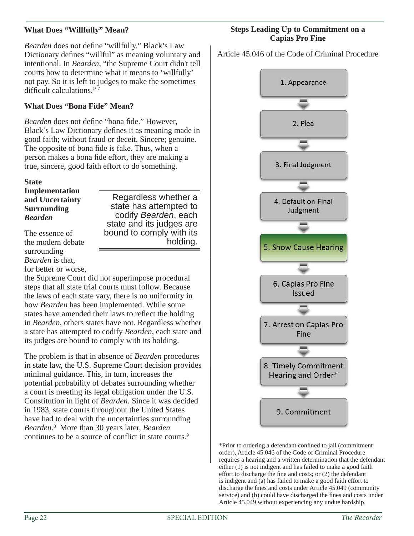### **What Does "Willfully" Mean?**

*Bearden* does not define "willfully." Black's Law Dictionary defines "willful" as meaning voluntary and intentional. In *Bearden*, "the Supreme Court didn't tell courts how to determine what it means to 'willfully' not pay. So it is left to judges to make the sometimes difficult calculations." $7$ 

#### **What Does "Bona Fide" Mean?**

*Bearden* does not define "bona fide." However, Black's Law Dictionary defines it as meaning made in good faith; without fraud or deceit. Sincere; genuine. The opposite of bona fide is fake. Thus, when a person makes a bona fide effort, they are making a true, sincere, good faith effort to do something.

### **State**

**Implementation and Uncertainty Surrounding**  *Bearden*

Regardless whether a state has attempted to codify *Bearden*, each state and its judges are bound to comply with its holding.

The essence of the modern debate surrounding *Bearden* is that, for better or worse,

the Supreme Court did not superimpose procedural steps that all state trial courts must follow. Because the laws of each state vary, there is no uniformity in how *Bearden* has been implemented. While some states have amended their laws to reflect the holding in *Bearden*, others states have not. Regardless whether a state has attempted to codify *Bearden*, each state and its judges are bound to comply with its holding.

The problem is that in absence of *Bearden* procedures in state law, the U.S. Supreme Court decision provides minimal guidance. This, in turn, increases the potential probability of debates surrounding whether a court is meeting its legal obligation under the U.S. Constitution in light of *Bearden*. Since it was decided in 1983, state courts throughout the United States have had to deal with the uncertainties surrounding *Bearden*. 8 More than 30 years later, *Bearden* continues to be a source of conflict in state courts.<sup>9</sup>

#### **Steps Leading Up to Commitment on a Capias Pro Fine**

Article 45.046 of the Code of Criminal Procedure



\*Prior to ordering a defendant confined to jail (commitment order), Article 45.046 of the Code of Criminal Procedure requires a hearing and a written determination that the defendant either (1) is not indigent and has failed to make a good faith effort to discharge the fine and costs; or  $(2)$  the defendant is indigent and (a) has failed to make a good faith effort to discharge the fines and costs under Article 45.049 (community service) and (b) could have discharged the fines and costs under Article 45.049 without experiencing any undue hardship.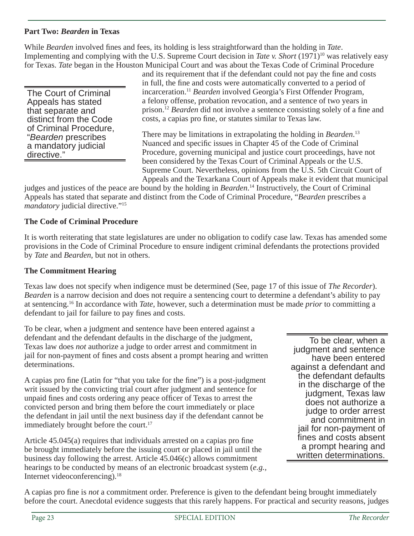### **Part Two:** *Bearden* **in Texas**

While *Bearden* involved fines and fees, its holding is less straightforward than the holding in *Tate*. Implementing and complying with the U.S. Supreme Court decision in *Tate v. Short* (1971)<sup>10</sup> was relatively easy for Texas. *Tate* began in the Houston Municipal Court and was about the Texas Code of Criminal Procedure

The Court of Criminal Appeals has stated that separate and distinct from the Code of Criminal Procedure, "*Bearden* prescribes a mandatory judicial directive."

and its requirement that if the defendant could not pay the fine and costs in full, the fine and costs were automatically converted to a period of incarceration.11 *Bearden* involved Georgia's First Offender Program, a felony offense, probation revocation, and a sentence of two years in prison.<sup>12</sup> *Bearden* did not involve a sentence consisting solely of a fine and costs, a capias pro fine, or statutes similar to Texas law.

There may be limitations in extrapolating the holding in *Bearden*. 13 Nuanced and specific issues in Chapter 45 of the Code of Criminal Procedure, governing municipal and justice court proceedings, have not been considered by the Texas Court of Criminal Appeals or the U.S. Supreme Court. Nevertheless*,* opinions from the U.S. 5th Circuit Court of Appeals and the Texarkana Court of Appeals make it evident that municipal

judges and justices of the peace are bound by the holding in *Bearden*. 14 Instructively, the Court of Criminal Appeals has stated that separate and distinct from the Code of Criminal Procedure, "*Bearden* prescribes a *mandatory* judicial directive."<sup>15</sup>

### **The Code of Criminal Procedure**

It is worth reiterating that state legislatures are under no obligation to codify case law. Texas has amended some provisions in the Code of Criminal Procedure to ensure indigent criminal defendants the protections provided by *Tate* and *Bearden*, but not in others.

### **The Commitment Hearing**

Texas law does not specify when indigence must be determined (See, page 17 of this issue of *The Recorder*). *Bearden* is a narrow decision and does not require a sentencing court to determine a defendant's ability to pay at sentencing.16 In accordance with *Tate*, however, such a determination must be made *prior* to committing a defendant to jail for failure to pay fines and costs.

To be clear, when a judgment and sentence have been entered against a defendant and the defendant defaults in the discharge of the judgment, Texas law does *not* authorize a judge to order arrest and commitment in jail for non-payment of fines and costs absent a prompt hearing and written determinations.

A capias pro fine (Latin for "that you take for the fine") is a post-judgment writ issued by the convicting trial court after judgment and sentence for unpaid fines and costs ordering any peace officer of Texas to arrest the convicted person and bring them before the court immediately or place the defendant in jail until the next business day if the defendant cannot be immediately brought before the court.<sup>17</sup>

Article  $45.045(a)$  requires that individuals arrested on a capias pro fine be brought immediately before the issuing court or placed in jail until the business day following the arrest. Article 45.046(c) allows commitment hearings to be conducted by means of an electronic broadcast system (*e.g.,* Internet videoconferencing).<sup>18</sup>

To be clear, when a judgment and sentence have been entered against a defendant and the defendant defaults in the discharge of the judgment, Texas law does not authorize a judge to order arrest and commitment in jail for non-payment of fines and costs absent a prompt hearing and written determinations.

A capias pro fine is *not* a commitment order. Preference is given to the defendant being brought immediately before the court. Anecdotal evidence suggests that this rarely happens. For practical and security reasons, judges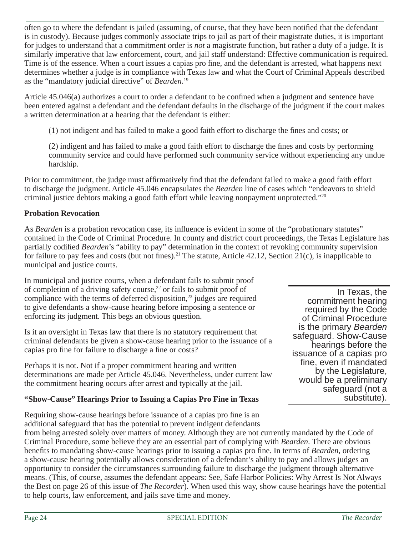often go to where the defendant is jailed (assuming, of course, that they have been notified that the defendant is in custody). Because judges commonly associate trips to jail as part of their magistrate duties, it is important for judges to understand that a commitment order is *not* a magistrate function, but rather a duty of a judge. It is similarly imperative that law enforcement, court, and jail staff understand: Effective communication is required. Time is of the essence. When a court issues a capias pro fine, and the defendant is arrested, what happens next determines whether a judge is in compliance with Texas law and what the Court of Criminal Appeals described as the "mandatory judicial directive" of *Bearden*. 19

Article 45.046(a) authorizes a court to order a defendant to be confined when a judgment and sentence have been entered against a defendant and the defendant defaults in the discharge of the judgment if the court makes a written determination at a hearing that the defendant is either:

 $(1)$  not indigent and has failed to make a good faith effort to discharge the fines and costs; or

(2) indigent and has failed to make a good faith effort to discharge the fines and costs by performing community service and could have performed such community service without experiencing any undue hardship.

Prior to commitment, the judge must affirmatively find that the defendant failed to make a good faith effort to discharge the judgment. Article 45.046 encapsulates the *Bearden* line of cases which "endeavors to shield criminal justice debtors making a good faith effort while leaving nonpayment unprotected."20

### **Probation Revocation**

As *Bearden* is a probation revocation case, its influence is evident in some of the "probationary statutes" contained in the Code of Criminal Procedure. In county and district court proceedings, the Texas Legislature has partially codified *Bearden*'s "ability to pay" determination in the context of revoking community supervision for failure to pay fees and costs (but not fines).<sup>21</sup> The statute, Article 42.12, Section 21(c), is inapplicable to municipal and justice courts.

In municipal and justice courts, when a defendant fails to submit proof of completion of a driving safety course,<sup>22</sup> or fails to submit proof of compliance with the terms of deferred disposition, $^{23}$  judges are required to give defendants a show-cause hearing before imposing a sentence or enforcing its judgment. This begs an obvious question.

Is it an oversight in Texas law that there is no statutory requirement that criminal defendants be given a show-cause hearing prior to the issuance of a capias pro fine for failure to discharge a fine or costs?

Perhaps it is not. Not if a proper commitment hearing and written determinations are made per Article 45.046. Nevertheless, under current law the commitment hearing occurs after arrest and typically at the jail.

#### **"Show-Cause" Hearings Prior to Issuing a Capias Pro Fine in Texas**

Requiring show-cause hearings before issuance of a capias pro fine is an additional safeguard that has the potential to prevent indigent defendants

from being arrested solely over matters of money. Although they are not currently mandated by the Code of Criminal Procedure, some believe they are an essential part of complying with *Bearden*. There are obvious benefits to mandating show-cause hearings prior to issuing a capias pro fine. In terms of *Bearden*, ordering a show-cause hearing potentially allows consideration of a defendant's ability to pay and allows judges an opportunity to consider the circumstances surrounding failure to discharge the judgment through alternative means. (This, of course, assumes the defendant appears: See, Safe Harbor Policies: Why Arrest Is Not Always the Best on page 26 of this issue of *The Recorder*). When used this way, show cause hearings have the potential to help courts, law enforcement, and jails save time and money.

In Texas, the commitment hearing required by the Code of Criminal Procedure is the primary *Bearden* safeguard. Show-Cause hearings before the issuance of a capias pro fine, even if mandated by the Legislature, would be a preliminary safeguard (not a substitute).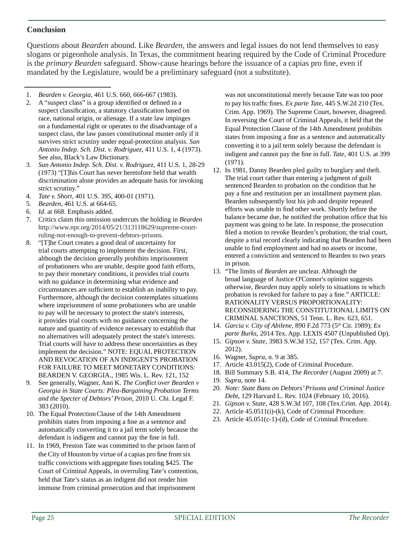### **Conclusion**

Questions about *Bearden* abound. Like *Bearden,* the answers and legal issues do not lend themselves to easy slogans or pigeonhole analysis. In Texas, the commitment hearing required by the Code of Criminal Procedure is the *primary Bearden* safeguard. Show-cause hearings before the issuance of a capias pro fine, even if mandated by the Legislature, would be a preliminary safeguard (not a substitute).

- 1. *Bearden v. Georgia*, 461 U.S. 660, 666-667 (1983).
- 2. A "suspect class" is a group identified or defined in a suspect classification, a statutory classification based on race, national origin, or alienage. If a state law impinges on a fundamental right or operates to the disadvantage of a suspect class, the law passes constitutional muster only if it survives strict scrutiny under equal-protection analysis. *San Antonio Indep. Sch. Dist. v. Rodriguez*, 411 U.S. 1, 4 (1973). See also, Black's Law Dictionary.
- 3. *San Antonio Indep. Sch. Dist. v. Rodriguez*, 411 U.S. 1, 28-29 (1973) "[T]his Court has never heretofore held that wealth discrimination alone provides an adequate basis for invoking strict scrutiny."
- 4. *Tate v. Short*, 401 U.S. 395, 400-01 (1971).
- 5. *Bearden*, 461 U.S. at 664-65.
- 6. *Id*. at 668. Emphasis added.
- 7. Critics claim this omission undercuts the holding in *Bearden* http://www.npr.org/2014/05/21/313118629/supreme-courtruling-not-enough-to-prevent-debtors-prisons.
- 8. "[T]he Court creates a good deal of uncertainty for trial courts attempting to implement the decision. First, although the decision generally prohibits imprisonment of probationers who are unable, despite good faith efforts, to pay their monetary conditions, it provides trial courts with no guidance in determining what evidence and circumstances are sufficient to establish an inability to pay. Furthermore, although the decision contemplates situations where imprisonment of some probationers who are unable to pay will be necessary to protect the state's interests, it provides trial courts with no guidance concerning the nature and quantity of evidence necessary to establish that no alternatives will adequately protect the state's interests. Trial courts will have to address these uncertainties as they implement the decision." NOTE: EQUAL PROTECTION AND REVOCATION OF AN INDIGENT'S PROBATION FOR FAILURE TO MEET MONETARY CONDITIONS: BEARDEN V. GEORGIA., 1985 Wis. L. Rev. 121, 152
- 9. See generally, Wagner, Ann K. *The Conflict over Bearden v Georgia in State Courts: Plea-Bargaining Probation Terms and the Specter of Debtors' Prison*, 2010 U. Chi. Legal F. 383 (2010).
- 10. The Equal Protection Clause of the 14th Amendment prohibits states from imposing a fine as a sentence and automatically converting it to a jail term solely because the defendant is indigent and cannot pay the fine in full.
- 11. In 1969, Preston Tate was committed to the prison farm of the City of Houston by virtue of a capias pro fine from six traffic convictions with aggregate fines totaling \$425. The Court of Criminal Appeals, in overruling Tate's contention, held that Tate's status as an indigent did not render him immune from criminal prosecution and that imprisonment

was not unconstitutional merely because Tate was too poor to pay his traffic fines. *Ex parte Tate*, 445 S.W.2d 210 (Tex. Crim. App. 1969). The Supreme Court, however, disagreed. In reversing the Court of Criminal Appeals, it held that the Equal Protection Clause of the 14th Amendment prohibits states from imposing a fine as a sentence and automatically converting it to a jail term solely because the defendant is indigent and cannot pay the fine in full. *Tate*, 401 U.S. at 399 (1971).

- 12. In 1981, Danny Bearden pled guilty to burglary and theft. The trial court rather than entering a judgment of guilt sentenced Bearden to probation on the condition that he pay a fine and restitution per an installment payment plan. Bearden subsequently lost his job and despite repeated efforts was unable to find other work. Shortly before the balance became due, he notified the probation office that his payment was going to be late. In response, the prosecution filed a motion to revoke Bearden's probation; the trial court, despite a trial record clearly indicating that Bearden had been unable to find employment and had no assets or income, entered a conviction and sentenced to Bearden to two years in prison.
- 13. "The limits of *Bearden* are unclear. Although the broad language of Justice O'Connor's opinion suggests otherwise, *Bearden* may apply solely to situations in which probation is revoked for failure to pay a fine." ARTICLE: RATIONALITY VERSUS PROPORTIONALITY: RECONSIDERING THE CONSTITUTIONAL LIMITS ON CRIMINAL SANCTIONS, 51 Tenn. L. Rev. 623, 651.
- 14. *Garcia v. City of Abilene*, 890 F.2d 773 (5th Cir. 1989); *Ex parte Burks*, 2014 Tex. App. LEXIS 4507 (Unpublished Op).
- 15. *Gipson v. State*, 3983 S.W.3d 152, 157 (Tex. Crim. App. 2012).
- 16. Wagner, *Supra*, n. 9 at 385.
- 17. Article 43.015(2), Code of Criminal Procedure.
- 18. Bill Summary S.B. 414, *The Recorder* (August 2009) at 7.
- 19. *Supra*, note 14.
- 20. *Note: State Bans on Debtors' Prisons and Criminal Justice Debt*, 129 Harvard L. Rev. 1024 (February 10, 2016).
- 21. *Gipson v. State*, 428 S.W.3d 107, 108 (Tex.Crim. App. 2014).
- 22. Article 45.0511(i)-(k), Code of Criminal Procedure.
- 23. Article 45.051(c-1)-(d), Code of Criminal Procedure.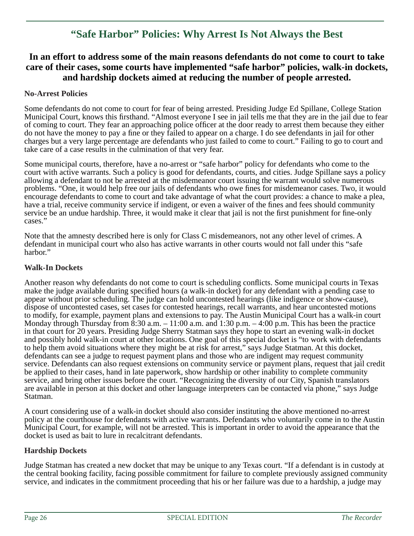# **"Safe Harbor" Policies: Why Arrest Is Not Always the Best**

### **In an effort to address some of the main reasons defendants do not come to court to take care of their cases, some courts have implemented "safe harbor" policies, walk-in dockets, and hardship dockets aimed at reducing the number of people arrested.**

#### **No-Arrest Policies**

Some defendants do not come to court for fear of being arrested. Presiding Judge Ed Spillane, College Station Municipal Court, knows this firsthand. "Almost everyone I see in jail tells me that they are in the jail due to fear of coming to court. They fear an approaching police officer at the door ready to arrest them because they either do not have the money to pay a fine or they failed to appear on a charge. I do see defendants in jail for other charges but a very large percentage are defendants who just failed to come to court." Failing to go to court and take care of a case results in the culmination of that very fear.

Some municipal courts, therefore, have a no-arrest or "safe harbor" policy for defendants who come to the court with active warrants. Such a policy is good for defendants, courts, and cities. Judge Spillane says a policy allowing a defendant to not be arrested at the misdemeanor court issuing the warrant would solve numerous problems. "One, it would help free our jails of defendants who owe fines for misdemeanor cases. Two, it would encourage defendants to come to court and take advantage of what the court provides: a chance to make a plea, have a trial, receive community service if indigent, or even a waiver of the fines and fees should community service be an undue hardship. Three, it would make it clear that jail is not the first punishment for fine-only cases."

Note that the amnesty described here is only for Class C misdemeanors, not any other level of crimes. A defendant in municipal court who also has active warrants in other courts would not fall under this "safe harbor."

#### **Walk-In Dockets**

Another reason why defendants do not come to court is scheduling conflicts. Some municipal courts in Texas make the judge available during specified hours (a walk-in docket) for any defendant with a pending case to appear without prior scheduling. The judge can hold uncontested hearings (like indigence or show-cause), dispose of uncontested cases, set cases for contested hearings, recall warrants, and hear uncontested motions to modify, for example, payment plans and extensions to pay. The Austin Municipal Court has a walk-in court Monday through Thursday from  $8:30$  a.m.  $-11:00$  a.m. and  $1:30$  p.m.  $-4:00$  p.m. This has been the practice in that court for 20 years. Presiding Judge Sherry Statman says they hope to start an evening walk-in docket and possibly hold walk-in court at other locations. One goal of this special docket is "to work with defendants to help them avoid situations where they might be at risk for arrest," says Judge Statman. At this docket, defendants can see a judge to request payment plans and those who are indigent may request community service. Defendants can also request extensions on community service or payment plans, request that jail credit be applied to their cases, hand in late paperwork, show hardship or other inability to complete community service, and bring other issues before the court. "Recognizing the diversity of our City, Spanish translators are available in person at this docket and other language interpreters can be contacted via phone," says Judge Statman.

A court considering use of a walk-in docket should also consider instituting the above mentioned no-arrest policy at the courthouse for defendants with active warrants. Defendants who voluntarily come in to the Austin Municipal Court, for example, will not be arrested. This is important in order to avoid the appearance that the docket is used as bait to lure in recalcitrant defendants.

#### **Hardship Dockets**

Judge Statman has created a new docket that may be unique to any Texas court. "If a defendant is in custody at the central booking facility, facing possible commitment for failure to complete previously assigned community service, and indicates in the commitment proceeding that his or her failure was due to a hardship, a judge may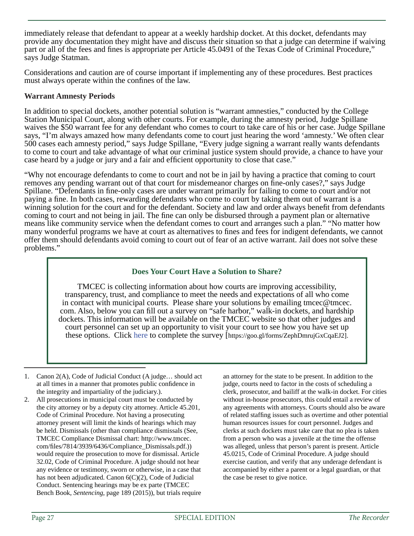immediately release that defendant to appear at a weekly hardship docket. At this docket, defendants may provide any documentation they might have and discuss their situation so that a judge can determine if waiving part or all of the fees and fines is appropriate per Article 45.0491 of the Texas Code of Criminal Procedure," says Judge Statman.

Considerations and caution are of course important if implementing any of these procedures. Best practices must always operate within the confines of the law.

#### **Warrant Amnesty Periods**

In addition to special dockets, another potential solution is "warrant amnesties," conducted by the College Station Municipal Court, along with other courts. For example, during the amnesty period, Judge Spillane waives the \$50 warrant fee for any defendant who comes to court to take care of his or her case. Judge Spillane says, "I'm always amazed how many defendants come to court just hearing the word 'amnesty.' We often clear 500 cases each amnesty period," says Judge Spillane, "Every judge signing a warrant really wants defendants to come to court and take advantage of what our criminal justice system should provide, a chance to have your case heard by a judge or jury and a fair and efficient opportunity to close that case."

"Why not encourage defendants to come to court and not be in jail by having a practice that coming to court removes any pending warrant out of that court for misdemeanor charges on fine-only cases?," says Judge Spillane. "Defendants in fine-only cases are under warrant primarily for failing to come to court and/or not paying a fine. In both cases, rewarding defendants who come to court by taking them out of warrant is a winning solution for the court and for the defendant. Society and law and order always benefit from defendants coming to court and not being in jail. The fine can only be disbursed through a payment plan or alternative means like community service when the defendant comes to court and arranges such a plan. " "No matter how many wonderful programs we have at court as alternatives to fines and fees for indigent defendants, we cannot offer them should defendants avoid coming to court out of fear of an active warrant. Jail does not solve these problems."

#### **Does Your Court Have a Solution to Share?**

TMCEC is collecting information about how courts are improving accessibility, transparency, trust, and compliance to meet the needs and expectations of all who come in contact with municipal courts. Please share your solutions by emailing tmcec@tmcec. com. Also, below you can fill out a survey on "safe harbor," walk-in dockets, and hardship dockets. This information will be available on the TMCEC website so that other judges and court personnel can set up an opportunity to visit your court to see how you have set up these options. Click here to complete the survey [https://goo.gl/forms/ZephDmrujGxCqaEJ2].

- 1. Canon 2(A), Code of Judicial Conduct (A judge… should act at all times in a manner that promotes public confidence in the integrity and impartiality of the judiciary.).
- 2. All prosecutions in municipal court must be conducted by the city attorney or by a deputy city attorney. Article 45.201, Code of Criminal Procedure. Not having a prosecuting attorney present will limit the kinds of hearings which may be held. Dismissals (other than compliance dismissals (See, TMCEC Compliance Dismissal chart: http://www.tmcec. com/fi les/7814/3939/6436/Compliance\_Dismissals.pdf.)) would require the prosecution to move for dismissal. Article 32.02, Code of Criminal Procedure. A judge should not hear any evidence or testimony, sworn or otherwise, in a case that has not been adjudicated. Canon 6(C)(2), Code of Judicial Conduct. Sentencing hearings may be ex parte (TMCEC Bench Book, *Sentencing*, page 189 (2015)), but trials require

an attorney for the state to be present. In addition to the judge, courts need to factor in the costs of scheduling a clerk, prosecutor, and bailiff at the walk-in docket. For cities without in-house prosecutors, this could entail a review of any agreements with attorneys. Courts should also be aware of related staffing issues such as overtime and other potential human resources issues for court personnel. Judges and clerks at such dockets must take care that no plea is taken from a person who was a juvenile at the time the offense was alleged, unless that person's parent is present. Article 45.0215, Code of Criminal Procedure. A judge should exercise caution, and verify that any underage defendant is accompanied by either a parent or a legal guardian, or that the case be reset to give notice.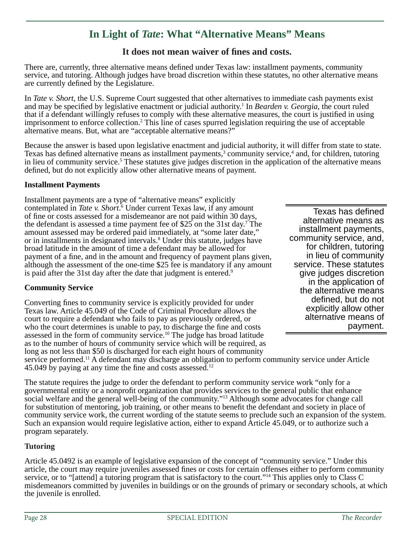# **In Light of** *Tate* **: What "Alternative Means" Means**

### It does not mean waiver of fines and costs.

There are, currently, three alternative means defined under Texas law: installment payments, community service, and tutoring. Although judges have broad discretion within these statutes, no other alternative means are currently defined by the Legislature.

In *Tate v. Short*, the U.S. Supreme Court suggested that other alternatives to immediate cash payments exist and may be specified by legislative enactment or judicial authority.<sup>1</sup> In *Bearden v. Georgia*, the court ruled that if a defendant willingly refuses to comply with these alternative measures, the court is justified in using imprisonment to enforce collection.2 This line of cases spurred legislation requiring the use of acceptable alternative means. But, what are "acceptable alternative means?"

Because the answer is based upon legislative enactment and judicial authority, it will differ from state to state. Texas has defined alternative means as installment payments,<sup>3</sup> community service,<sup>4</sup> and, for children, tutoring in lieu of community service.<sup>5</sup> These statutes give judges discretion in the application of the alternative means defined, but do not explicitly allow other alternative means of payment.

#### **Installment Payments**

Installment payments are a type of "alternative means" explicitly contemplated in *Tate v. Short*.<sup>6</sup> Under current Texas law, if any amount of fine or costs assessed for a misdemeanor are not paid within 30 days, the defendant is assessed a time payment fee of \$25 on the 31st day.<sup>7</sup> The amount assessed may be ordered paid immediately, at "some later date," or in installments in designated intervals.<sup>8</sup> Under this statute, judges have broad latitude in the amount of time a defendant may be allowed for payment of a fine, and in the amount and frequency of payment plans given, although the assessment of the one-time \$25 fee is mandatory if any amount is paid after the 31st day after the date that judgment is entered.<sup>9</sup>

#### **Community Service**

Converting fines to community service is explicitly provided for under Texas law. Article 45.049 of the Code of Criminal Procedure allows the court to require a defendant who fails to pay as previously ordered, or who the court determines is unable to pay, to discharge the fine and costs assessed in the form of community service.10 The judge has broad latitude as to the number of hours of community service which will be required, as long as not less than \$50 is discharged for each eight hours of community

Texas has defined alternative means as installment payments, community service, and, for children, tutoring in lieu of community service. These statutes give judges discretion in the application of the alternative means defined, but do not explicitly allow other alternative means of payment.

service performed.<sup>11</sup> A defendant may discharge an obligation to perform community service under Article 45.049 by paying at any time the fine and costs assessed. $12$ 

The statute requires the judge to order the defendant to perform community service work "only for a governmental entity or a nonprofit organization that provides services to the general public that enhance social welfare and the general well-being of the community."<sup>13</sup> Although some advocates for change call for substitution of mentoring, job training, or other means to benefi t the defendant and society in place of community service work, the current wording of the statute seems to preclude such an expansion of the system. Such an expansion would require legislative action, either to expand Article 45.049, or to authorize such a program separately.

#### **Tutoring**

Article 45.0492 is an example of legislative expansion of the concept of "community service." Under this article, the court may require juveniles assessed fines or costs for certain offenses either to perform community service, or to "[attend] a tutoring program that is satisfactory to the court."14 This applies only to Class C misdemeanors committed by juveniles in buildings or on the grounds of primary or secondary schools, at which the juvenile is enrolled.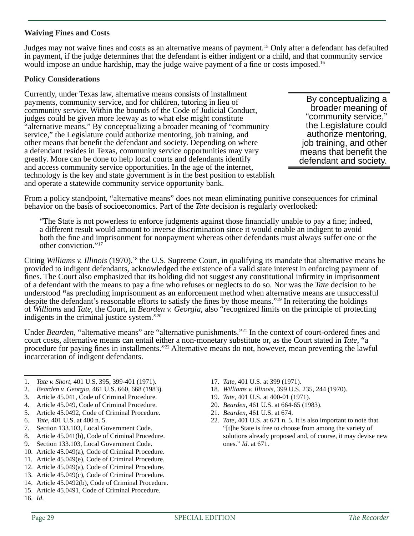#### **Waiving Fines and Costs**

Judges may not waive fines and costs as an alternative means of payment.<sup>15</sup> Only after a defendant has defaulted in payment, if the judge determines that the defendant is either indigent or a child, and that community service would impose an undue hardship, may the judge waive payment of a fine or costs imposed.<sup>16</sup>

#### **Policy Considerations**

Currently, under Texas law, alternative means consists of installment payments, community service, and for children, tutoring in lieu of community service. Within the bounds of the Code of Judicial Conduct, judges could be given more leeway as to what else might constitute "alternative means." By conceptualizing a broader meaning of "community service," the Legislature could authorize mentoring, job training, and other means that benefit the defendant and society. Depending on where a defendant resides in Texas, community service opportunities may vary greatly. More can be done to help local courts and defendants identify and access community service opportunities. In the age of the internet, technology is the key and state government is in the best position to establish and operate a statewide community service opportunity bank.

By conceptualizing a broader meaning of "community service," the Legislature could authorize mentoring, job training, and other means that benefit the defendant and society.

From a policy standpoint, "alternative means" does not mean eliminating punitive consequences for criminal behavior on the basis of socioeconomics. Part of the *Tate* decision is regularly overlooked:

"The State is not powerless to enforce judgments against those financially unable to pay a fine; indeed, a different result would amount to inverse discrimination since it would enable an indigent to avoid both the fine and imprisonment for nonpayment whereas other defendants must always suffer one or the other conviction."17

Citing *Williams v. Illinois* (1970),<sup>18</sup> the U.S. Supreme Court, in qualifying its mandate that alternative means be provided to indigent defendants, acknowledged the existence of a valid state interest in enforcing payment of fines. The Court also emphasized that its holding did not suggest any constitutional infirmity in imprisonment of a defendant with the means to pay a fine who refuses or neglects to do so. Nor was the *Tate* decision to be understood **"**as precluding imprisonment as an enforcement method when alternative means are unsuccessful despite the defendant's reasonable efforts to satisfy the fines by those means."<sup>19</sup> In reiterating the holdings of *Williams* and *Tate*, the Court, in *Bearden v. Georgia*, also "recognized limits on the principle of protecting indigents in the criminal justice system."20

Under *Bearden*, "alternative means" are "alternative punishments."<sup>21</sup> In the context of court-ordered fines and court costs, alternative means can entail either a non-monetary substitute or, as the Court stated in *Tate*, "a procedure for paying fines in installments."<sup>22</sup> Alternative means do not, however, mean preventing the lawful incarceration of indigent defendants.

- 1. *Tate v. Short*, 401 U.S. 395, 399-401 (1971).
- 2. *Bearden v. Georgia*, 461 U.S. 660, 668 (1983).
- 3. Article 45.041, Code of Criminal Procedure.
- 4. Article 45.049, Code of Criminal Procedure.
- 5. Article 45.0492, Code of Criminal Procedure.
- 6. *Tate*, 401 U.S. at 400 n. 5.
- 7. Section 133.103, Local Government Code.
- 8. Article 45.041(b), Code of Criminal Procedure.
- 9. Section 133.103, Local Government Code.
- 10. Article 45.049(a), Code of Criminal Procedure.
- 11. Article 45.049(e), Code of Criminal Procedure.
- 12. Article 45.049(a), Code of Criminal Procedure.
- 13. Article 45.049(c), Code of Criminal Procedure.
- 14. Article 45.0492(b), Code of Criminal Procedure.
- 15. Article 45.0491, Code of Criminal Procedure. 16. *Id*.
- 18. *Williams v. Illinois*, 399 U.S. 235, 244 (1970).
- 19. *Tate*, 401 U.S. at 400-01 (1971).

17. *Tate*, 401 U.S. at 399 (1971).

- 20. *Bearden*, 461 U.S. at 664-65 (1983).
- 21. *Bearden*, 461 U.S. at 674.
- 22. *Tate*, 401 U.S. at 671 n. 5. It is also important to note that "[t]he State is free to choose from among the variety of solutions already proposed and, of course, it may devise new ones." *Id*. at 671.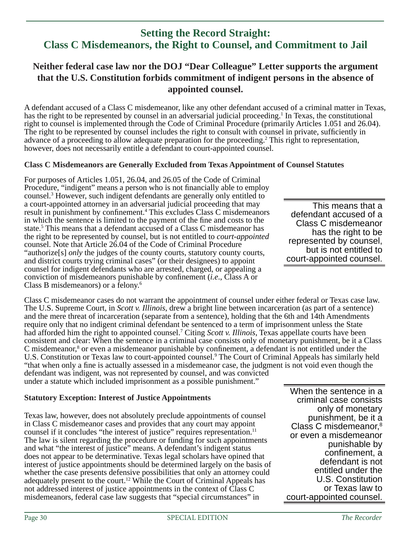# **Setting the Record Straight: Class C Misdemeanors, the Right to Counsel, and Commitment to Jail**

# **Neither federal case law nor the DOJ "Dear Colleague" Letter supports the argument that the U.S. Constitution forbids commitment of indigent persons in the absence of appointed counsel.**

A defendant accused of a Class C misdemeanor, like any other defendant accused of a criminal matter in Texas, has the right to be represented by counsel in an adversarial judicial proceeding.<sup>1</sup> In Texas, the constitutional right to counsel is implemented through the Code of Criminal Procedure (primarily Articles 1.051 and 26.04). The right to be represented by counsel includes the right to consult with counsel in private, sufficiently in advance of a proceeding to allow adequate preparation for the proceeding.<sup>2</sup> This right to representation, however, does not necessarily entitle a defendant to court-appointed counsel.

#### **Class C Misdemeanors are Generally Excluded from Texas Appointment of Counsel Statutes**

For purposes of Articles 1.051, 26.04, and 26.05 of the Code of Criminal Procedure, "indigent" means a person who is not financially able to employ counsel.3 However, such indigent defendants are generally only entitled to a court-appointed attorney in an adversarial judicial proceeding that may result in punishment by confinement.<sup>4</sup> This excludes Class C misdemeanors in which the sentence is limited to the payment of the fine and costs to the state.<sup>5</sup> This means that a defendant accused of a Class C misdemeanor has the right to be represented by counsel, but is not entitled to *court-appointed* counsel. Note that Article 26.04 of the Code of Criminal Procedure "authorize[s] *only* the judges of the county courts, statutory county courts, and district courts trying criminal cases" (or their designees) to appoint counsel for indigent defendants who are arrested, charged, or appealing a conviction of misdemeanors punishable by confinement *(i.e., Class A or*) Class B misdemeanors) or a felony.6

Class C misdemeanor cases do not warrant the appointment of counsel under either federal or Texas case law. The U.S. Supreme Court, in *Scott v. Illinois*, drew a bright line between incarceration (as part of a sentence) and the mere threat of incarceration (separate from a sentence), holding that the 6th and 14th Amendments require only that no indigent criminal defendant be sentenced to a term of imprisonment unless the State had afforded him the right to appointed counsel.7 Citing *Scott v. Illinois*, Texas appellate courts have been consistent and clear: When the sentence in a criminal case consists only of monetary punishment, be it a Class C misdemeanor,<sup>8</sup> or even a misdemeanor punishable by confinement, a defendant is not entitled under the U.S. Constitution or Texas law to court-appointed counsel.<sup>9</sup> The Court of Criminal Appeals has similarly held "that when only a fine is actually assessed in a misdemeanor case, the judgment is not void even though the defendant was indigent, was not represented by counsel, and was convicted

under a statute which included imprisonment as a possible punishment."

#### **Statutory Exception: Interest of Justice Appointments**

Texas law, however, does not absolutely preclude appointments of counsel in Class C misdemeanor cases and provides that any court may appoint counsel if it concludes "the interest of justice" requires representation.<sup>11</sup> The law is silent regarding the procedure or funding for such appointments and what "the interest of justice" means. A defendant's indigent status does not appear to be determinative. Texas legal scholars have opined that interest of justice appointments should be determined largely on the basis of whether the case presents defensive possibilities that only an attorney could adequately present to the court.12 While the Court of Criminal Appeals has not addressed interest of justice appointments in the context of Class C misdemeanors, federal case law suggests that "special circumstances" in

This means that a defendant accused of a Class C misdemeanor has the right to be represented by counsel, but is not entitled to court-appointed counsel.

When the sentence in a criminal case consists only of monetary punishment, be it a Class C misdemeanor,8 or even a misdemeanor punishable by confinement, a defendant is not entitled under the U.S. Constitution or Texas law to court-appointed counsel.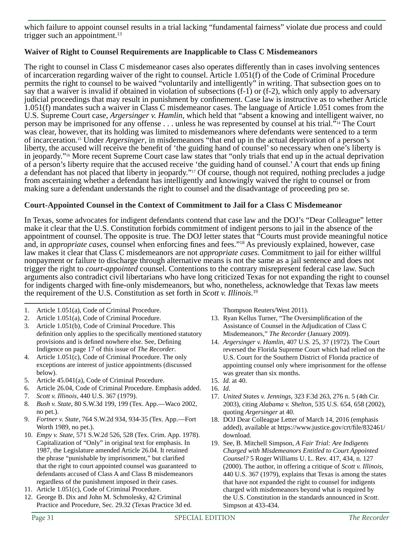which failure to appoint counsel results in a trial lacking "fundamental fairness" violate due process and could trigger such an appointment.<sup>13</sup>

### **Waiver of Right to Counsel Requirements are Inapplicable to Class C Misdemeanors**

The right to counsel in Class C misdemeanor cases also operates differently than in cases involving sentences of incarceration regarding waiver of the right to counsel. Article 1.051(f) of the Code of Criminal Procedure permits the right to counsel to be waived "voluntarily and intelligently" in writing. That subsection goes on to say that a waiver is invalid if obtained in violation of subsections (f-1) or (f-2), which only apply to adversary judicial proceedings that may result in punishment by confinement. Case law is instructive as to whether Article 1.051(f) mandates such a waiver in Class C misdemeanor cases. The language of Article 1.051 comes from the U.S. Supreme Court case, *Argersinger v. Hamlin*, which held that "absent a knowing and intelligent waiver, no person may be imprisoned for any offense . . . unless he was represented by counsel at his trial."14 The Court was clear, however, that its holding was limited to misdemeanors where defendants were sentenced to a term of incarceration.15 Under *Argersinger*, in misdemeanors "that end up in the actual deprivation of a person's liberty, the accused will receive the benefit of 'the guiding hand of counsel' so necessary when one's liberty is in jeopardy."16 More recent Supreme Court case law states that "only trials that end up in the actual deprivation of a person's liberty require that the accused receive 'the guiding hand of counsel.' A court that ends up fining a defendant has not placed that liberty in jeopardy."17 Of course, though not required, nothing precludes a judge from ascertaining whether a defendant has intelligently and knowingly waived the right to counsel or from making sure a defendant understands the right to counsel and the disadvantage of proceeding pro se.

#### **Court-Appointed Counsel in the Context of Commitment to Jail for a Class C Misdemeanor**

In Texas, some advocates for indigent defendants contend that case law and the DOJ's "Dear Colleague" letter make it clear that the U.S. Constitution forbids commitment of indigent persons to jail in the absence of the appointment of counsel. The opposite is true. The DOJ letter states that "Courts must provide meaningful notice and, in *appropriate cases*, counsel when enforcing fines and fees."<sup>18</sup> As previously explained, however, case law makes it clear that Class C misdemeanors are not *appropriate cases*. Commitment to jail for either willful nonpayment or failure to discharge through alternative means is not the same as a jail sentence and does not trigger the right to *court-appointed* counsel. Contentions to the contrary misrepresent federal case law. Such arguments also contradict civil libertarians who have long criticized Texas for not expanding the right to counsel for indigents charged with fine-only misdemeanors, but who, nonetheless, acknowledge that Texas law meets the requirement of the U.S. Constitution as set forth in *Scott v. Illinois*. 19

- 1. Article 1.051(a), Code of Criminal Procedure.
- 2. Article 1.051(a), Code of Criminal Procedure.
- 3. Article 1.051(b), Code of Criminal Procedure. This definition only applies to the specifically mentioned statutory provisions and is defined nowhere else. See, Defining Indigence on page 17 of this issue of *The Recorder*.
- 4. Article 1.051(c), Code of Criminal Procedure. The only exceptions are interest of justice appointments (discussed below).
- 5. Article 45.041(a), Code of Criminal Procedure.
- 6. Article 26.04, Code of Criminal Procedure. Emphasis added.
- 7. *Scott v. Illinois*, 440 U.S. 367 (1979).
- 8. *Bush v. State*, 80 S.W.3d 199, 199 (Tex. App.—Waco 2002, no pet.).
- 9. *Fortner v. State*, 764 S.W.2d 934, 934-35 (Tex. App.—Fort Worth 1989, no pet.).
- 10. *Empy v. State,* 571 S.W.2d 526, 528 (Tex. Crim. App. 1978). Capitalization of "Only" in original text for emphasis. In 1987, the Legislature amended Article 26.04. It retained the phrase "punishable by imprisonment," but clarified that the right to court appointed counsel was guaranteed to defendants accused of Class A and Class B misdemeanors regardless of the punishment imposed in their cases.
- 11. Article 1.051(c), Code of Criminal Procedure.
- 12. George B. Dix and John M. Schmolesky, 42 Criminal Practice and Procedure, Sec. 29.32 (Texas Practice 3d ed.

Thompson Reuters/West 2011).

- 13. Ryan Kellus Turner, "The Oversimplification of the Assistance of Counsel in the Adjudication of Class C Misdemeanors," *The Recorder* (January 2009).
- 14. *Argersinger v. Hamlin*, 407 U.S. 25, 37 (1972). The Court reversed the Florida Supreme Court which had relied on the U.S. Court for the Southern District of Florida practice of appointing counsel only where imprisonment for the offense was greater than six months.
- 15. *Id.* at 40.
- 16. *Id*.
- 17. *United States v. Jennings*, 323 F.3d 263, 276 n. 5 (4th Cir. 2003), citing *Alabama v. Shelton*, 535 U.S. 654, 658 (2002), quoting *Argersinger* at 40.
- 18. DOJ Dear Colleague Letter of March 14, 2016 (emphasis added), available at https://www.justice.gov/crt/file/832461/ download.
- 19. See, B. Mitchell Simpson, *A Fair Trial: Are Indigents Charged with Misdemeanors Entitled to Court Appointed Counsel?* 5 Roger Williams U. L. Rev. 417, 434, n. 127 (2000). The author, in offering a critique of *Scott v. Illinois*, 440 U.S. 367 (1979), explains that Texas is among the states that have not expanded the right to counsel for indigents charged with misdemeanors beyond what is required by the U.S. Constitution in the standards announced in *Scott*. Simpson at 433-434.